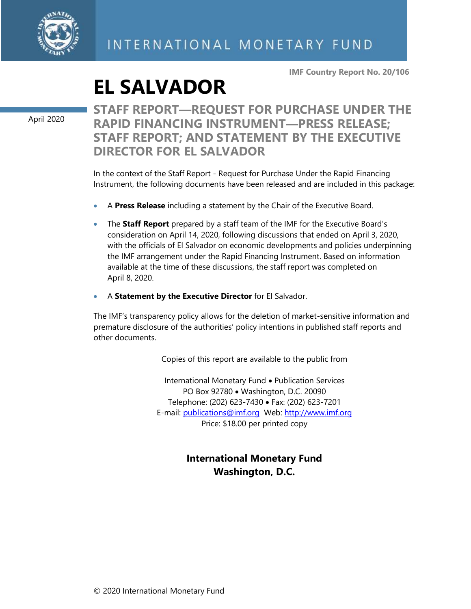

**IMF Country Report No. 20/106**

# **EL SALVADOR**

April 2020

**STAFF REPORT—REQUEST FOR PURCHASE UNDER THE RAPID FINANCING INSTRUMENT—PRESS RELEASE; STAFF REPORT; AND STATEMENT BY THE EXECUTIVE DIRECTOR FOR EL SALVADOR**

In the context of the Staff Report - Request for Purchase Under the Rapid Financing Instrument, the following documents have been released and are included in this package:

- A **Press Release** including a statement by the Chair of the Executive Board.
- The **Staff Report** prepared by a staff team of the IMF for the Executive Board's consideration on April 14, 2020, following discussions that ended on April 3, 2020, with the officials of El Salvador on economic developments and policies underpinning the IMF arrangement under the Rapid Financing Instrument. Based on information available at the time of these discussions, the staff report was completed on April 8, 2020.
- A **Statement by the Executive Director** for El Salvador.

The IMF's transparency policy allows for the deletion of market-sensitive information and premature disclosure of the authorities' policy intentions in published staff reports and other documents.

Copies of this report are available to the public from

International Monetary Fund • Publication Services PO Box 92780 • Washington, D.C. 20090 Telephone: (202) 623-7430 • Fax: (202) 623-7201 E-mail: [publications@imf.org](mailto:publications@imf.org) Web: [http://www.imf.org](http://www.imf.org/) Price: \$18.00 per printed copy

### **International Monetary Fund Washington, D.C.**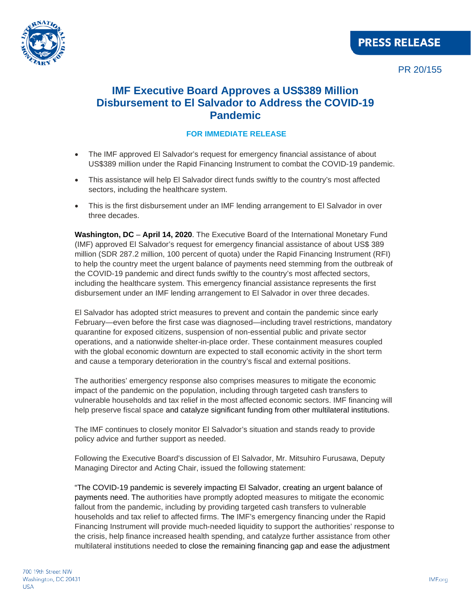

### **PRESS RELEASE**

PR 20/155

### **IMF Executive Board Approves a US\$389 Million Disbursement to El Salvador to Address the COVID-19 Pandemic**

### **FOR IMMEDIATE RELEASE**

- The IMF approved El Salvador's request for emergency financial assistance of about US\$389 million under the Rapid Financing Instrument to combat the COVID-19 pandemic.
- This assistance will help El Salvador direct funds swiftly to the country's most affected sectors, including the healthcare system.
- This is the first disbursement under an IMF lending arrangement to El Salvador in over three decades.

**Washington, DC** – **April 14, 2020**. The Executive Board of the International Monetary Fund (IMF) approved El Salvador's request for emergency financial assistance of about US\$ 389 million (SDR 287.2 million, 100 percent of quota) under the Rapid Financing Instrument (RFI) to help the country meet the urgent balance of payments need stemming from the outbreak of the COVID-19 pandemic and direct funds swiftly to the country's most affected sectors, including the healthcare system. This emergency financial assistance represents the first disbursement under an IMF lending arrangement to El Salvador in over three decades.

El Salvador has adopted strict measures to prevent and contain the pandemic since early February—even before the first case was diagnosed—including travel restrictions, mandatory quarantine for exposed citizens, suspension of non-essential public and private sector operations, and a nationwide shelter-in-place order. These containment measures coupled with the global economic downturn are expected to stall economic activity in the short term and cause a temporary deterioration in the country's fiscal and external positions.

The authorities' emergency response also comprises measures to mitigate the economic impact of the pandemic on the population, including through targeted cash transfers to vulnerable households and tax relief in the most affected economic sectors. IMF financing will help preserve fiscal space and catalyze significant funding from other multilateral institutions.

The IMF continues to closely monitor El Salvador's situation and stands ready to provide policy advice and further support as needed.

Following the Executive Board's discussion of El Salvador, Mr. Mitsuhiro Furusawa, Deputy Managing Director and Acting Chair, issued the following statement:

"The COVID-19 pandemic is severely impacting El Salvador, creating an urgent balance of payments need. The authorities have promptly adopted measures to mitigate the economic fallout from the pandemic, including by providing targeted cash transfers to vulnerable households and tax relief to affected firms. The IMF's emergency financing under the Rapid Financing Instrument will provide much-needed liquidity to support the authorities' response to the crisis, help finance increased health spending, and catalyze further assistance from other multilateral institutions needed to close the remaining financing gap and ease the adjustment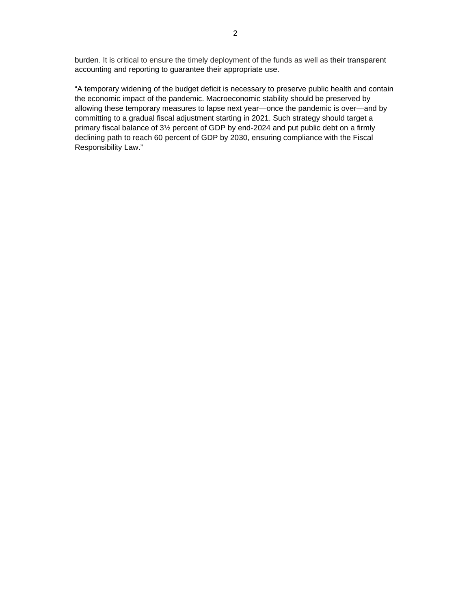burden. It is critical to ensure the timely deployment of the funds as well as their transparent accounting and reporting to guarantee their appropriate use.

"A temporary widening of the budget deficit is necessary to preserve public health and contain the economic impact of the pandemic. Macroeconomic stability should be preserved by allowing these temporary measures to lapse next year—once the pandemic is over—and by committing to a gradual fiscal adjustment starting in 2021. Such strategy should target a primary fiscal balance of 3½ percent of GDP by end-2024 and put public debt on a firmly declining path to reach 60 percent of GDP by 2030, ensuring compliance with the Fiscal Responsibility Law."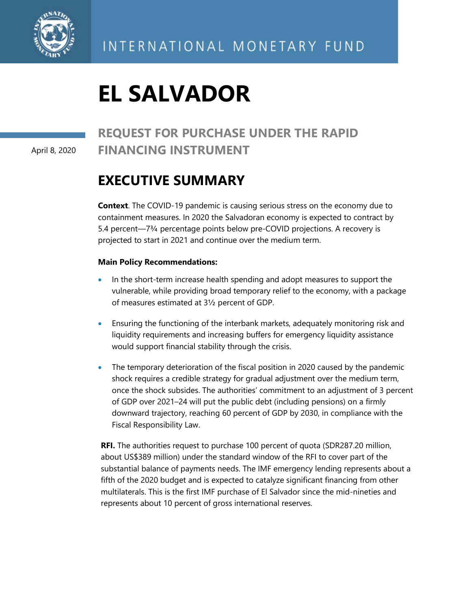

# **EL SALVADOR**

### **REQUEST FOR PURCHASE UNDER THE RAPID FINANCING INSTRUMENT**

April 8, 2020

## **EXECUTIVE SUMMARY**

**Context**. The COVID-19 pandemic is causing serious stress on the economy due to containment measures. In 2020 the Salvadoran economy is expected to contract by 5.4 percent—7¾ percentage points below pre-COVID projections. A recovery is projected to start in 2021 and continue over the medium term.

### **Main Policy Recommendations:**

- In the short-term increase health spending and adopt measures to support the vulnerable, while providing broad temporary relief to the economy, with a package of measures estimated at 3½ percent of GDP.
- Ensuring the functioning of the interbank markets, adequately monitoring risk and liquidity requirements and increasing buffers for emergency liquidity assistance would support financial stability through the crisis.
- The temporary deterioration of the fiscal position in 2020 caused by the pandemic shock requires a credible strategy for gradual adjustment over the medium term, once the shock subsides. The authorities' commitment to an adjustment of 3 percent of GDP over 2021–24 will put the public debt (including pensions) on a firmly downward trajectory, reaching 60 percent of GDP by 2030, in compliance with the Fiscal Responsibility Law.

**RFI.** The authorities request to purchase 100 percent of quota (SDR287.20 million, about US\$389 million) under the standard window of the RFI to cover part of the substantial balance of payments needs. The IMF emergency lending represents about a fifth of the 2020 budget and is expected to catalyze significant financing from other multilaterals. This is the first IMF purchase of El Salvador since the mid-nineties and represents about 10 percent of gross international reserves.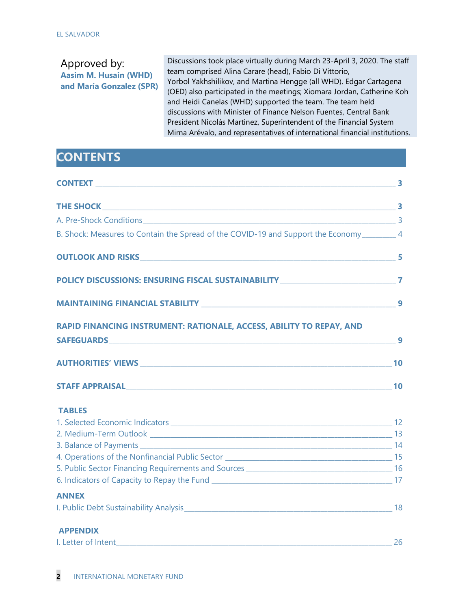| Approved by:<br><b>Aasim M. Husain (WHD)</b><br>and María Gonzalez (SPR) | Discussions took place virtually during March 23-April 3, 2020. The staff<br>team comprised Alina Carare (head), Fabio Di Vittorio,<br>Yorbol Yakhshilikov, and Martina Hengge (all WHD). Edgar Cartagena<br>(OED) also participated in the meetings; Xiomara Jordan, Catherine Koh<br>and Heidi Canelas (WHD) supported the team. The team held<br>discussions with Minister of Finance Nelson Fuentes, Central Bank<br>President Nicolás Martinez, Superintendent of the Financial System<br>Mirna Arévalo, and representatives of international financial institutions. |
|--------------------------------------------------------------------------|----------------------------------------------------------------------------------------------------------------------------------------------------------------------------------------------------------------------------------------------------------------------------------------------------------------------------------------------------------------------------------------------------------------------------------------------------------------------------------------------------------------------------------------------------------------------------|
|                                                                          |                                                                                                                                                                                                                                                                                                                                                                                                                                                                                                                                                                            |

# **CONTENTS**

| A. Pre-Shock Conditions 3                                                                   |    |
|---------------------------------------------------------------------------------------------|----|
| B. Shock: Measures to Contain the Spread of the COVID-19 and Support the Economy_________ 4 |    |
|                                                                                             |    |
| POLICY DISCUSSIONS: ENSURING FISCAL SUSTAINABILITY ______________________________7          |    |
|                                                                                             |    |
| RAPID FINANCING INSTRUMENT: RATIONALE, ACCESS, ABILITY TO REPAY, AND                        |    |
|                                                                                             |    |
|                                                                                             |    |
|                                                                                             |    |
| <b>TABLES</b>                                                                               |    |
|                                                                                             |    |
|                                                                                             |    |
|                                                                                             |    |
|                                                                                             |    |
|                                                                                             |    |
| <b>ANNEX</b>                                                                                |    |
|                                                                                             |    |
| <b>APPENDIX</b>                                                                             |    |
|                                                                                             | 26 |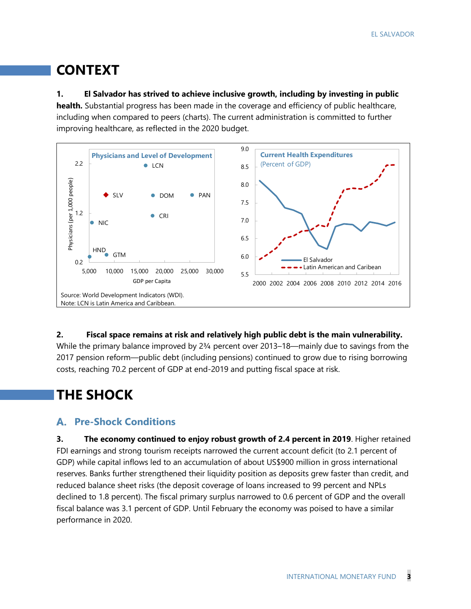# **CONTEXT**

### **1. El Salvador has strived to achieve inclusive growth, including by investing in public**

**health.** Substantial progress has been made in the coverage and efficiency of public healthcare, including when compared to peers (charts). The current administration is committed to further improving healthcare, as reflected in the 2020 budget.



### **2. Fiscal space remains at risk and relatively high public debt is the main vulnerability.**

While the primary balance improved by 2<sup>3</sup>/4 percent over 2013–18—mainly due to savings from the 2017 pension reform—public debt (including pensions) continued to grow due to rising borrowing costs, reaching 70.2 percent of GDP at end-2019 and putting fiscal space at risk.

# **THE SHOCK**

### **Pre-Shock Conditions**

**3. The economy continued to enjoy robust growth of 2.4 percent in 2019**. Higher retained FDI earnings and strong tourism receipts narrowed the current account deficit (to 2.1 percent of GDP) while capital inflows led to an accumulation of about US\$900 million in gross international reserves. Banks further strengthened their liquidity position as deposits grew faster than credit, and reduced balance sheet risks (the deposit coverage of loans increased to 99 percent and NPLs declined to 1.8 percent). The fiscal primary surplus narrowed to 0.6 percent of GDP and the overall fiscal balance was 3.1 percent of GDP. Until February the economy was poised to have a similar performance in 2020.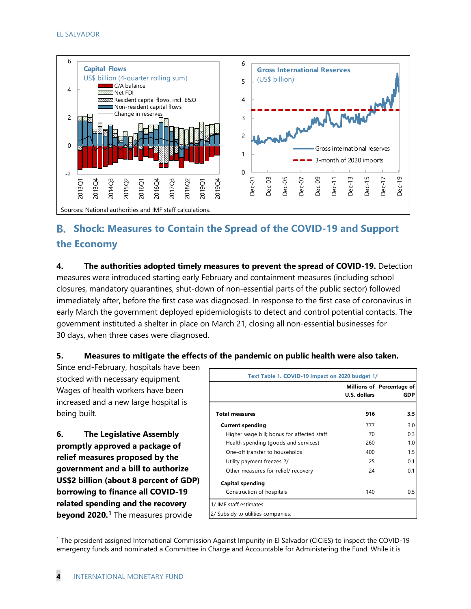

### **Shock: Measures to Contain the Spread of the COVID-19 and Support the Economy**

**4. The authorities adopted timely measures to prevent the spread of COVID-19.** Detection measures were introduced starting early February and containment measures (including school closures, mandatory quarantines, shut-down of non-essential parts of the public sector) followed immediately after, before the first case was diagnosed. In response to the first case of coronavirus in early March the government deployed epidemiologists to detect and control potential contacts. The government instituted a shelter in place on March 21, closing all non-essential businesses for 30 days, when three cases were diagnosed.

### **5. Measures to mitigate the effects of the pandemic on public health were also taken.**

Since end-February, hospitals have been stocked with necessary equipment. Wages of health workers have been increased and a new large hospital is being built.

**6. The Legislative Assembly promptly approved a package of relief measures proposed by the government and a bill to authorize US\$2 billion (about 8 percent of GDP) borrowing to finance all COVID-19 related spending and the recovery beyond 2020. [1](#page-6-0)** The measures provide

| Text Table 1. COVID-19 impact on 2020 budget 1/ |              |                                         |
|-------------------------------------------------|--------------|-----------------------------------------|
|                                                 | U.S. dollars | Millions of Percentage of<br><b>GDP</b> |
| <b>Total measures</b>                           | 916          | 3.5                                     |
| <b>Current spending</b>                         | 777          | 3.0                                     |
| Higher wage bill; bonus for affected staff      | 70           | 0.3                                     |
| Health spending (goods and services)            | 260          | 1.0                                     |
| One-off transfer to households                  | 400          | 1.5                                     |
| Utility payment freezes 2/                      | 25           | 0.1                                     |
| Other measures for relief/ recovery             | 24           | 0.1                                     |
| <b>Capital spending</b>                         |              |                                         |
| Construction of hospitals                       | 140          | 0.5                                     |
| 1/ IMF staff estimates.                         |              |                                         |
| 2/ Subsidy to utilities companies.              |              |                                         |

<span id="page-6-0"></span><sup>1</sup> The president assigned International Commission Against Impunity in El Salvador (CICIES) to inspect the COVID-19 emergency funds and nominated a Committee in Charge and Accountable for Administering the Fund. While it is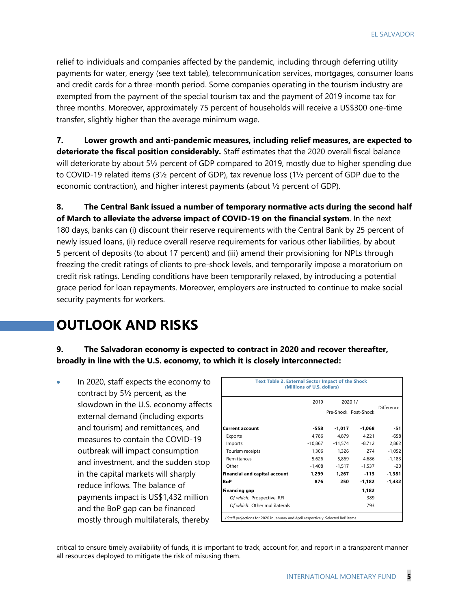relief to individuals and companies affected by the pandemic, including through deferring utility payments for water, energy (see text table), telecommunication services, mortgages, consumer loans and credit cards for a three-month period. Some companies operating in the tourism industry are exempted from the payment of the special tourism tax and the payment of 2019 income tax for three months. Moreover, approximately 75 percent of households will receive a US\$300 one-time transfer, slightly higher than the average minimum wage.

**7. Lower growth and anti-pandemic measures, including relief measures, are expected to deteriorate the fiscal position considerably.** Staff estimates that the 2020 overall fiscal balance will deteriorate by about 5½ percent of GDP compared to 2019, mostly due to higher spending due to COVID-19 related items (3½ percent of GDP), tax revenue loss (1½ percent of GDP due to the economic contraction), and higher interest payments (about  $\frac{1}{2}$  percent of GDP).

**8. The Central Bank issued a number of temporary normative acts during the second half of March to alleviate the adverse impact of COVID-19 on the financial system**. In the next 180 days, banks can (i) discount their reserve requirements with the Central Bank by 25 percent of newly issued loans, (ii) reduce overall reserve requirements for various other liabilities, by about 5 percent of deposits (to about 17 percent) and (iii) amend their provisioning for NPLs through freezing the credit ratings of clients to pre-shock levels, and temporarily impose a moratorium on credit risk ratings. Lending conditions have been temporarily relaxed, by introducing a potential grace period for loan repayments. Moreover, employers are instructed to continue to make social security payments for workers.

### **OUTLOOK AND RISKS**

**9. The Salvadoran economy is expected to contract in 2020 and recover thereafter, broadly in line with the U.S. economy, to which it is closely interconnected:**

• In 2020, staff expects the economy to contract by 5½ percent, as the slowdown in the U.S. economy affects external demand (including exports and tourism) and remittances, and measures to contain the COVID-19 outbreak will impact consumption and investment, and the sudden stop in the capital markets will sharply reduce inflows. The balance of payments impact is US\$1,432 million and the BoP gap can be financed mostly through multilaterals, thereby

| <b>Text Table 2. External Sector Impact of the Shock</b> | (Millions of U.S. dollars) |          |                      |            |  |  |  |  |  |  |  |
|----------------------------------------------------------|----------------------------|----------|----------------------|------------|--|--|--|--|--|--|--|
|                                                          | 2019<br>2020 1/            |          |                      |            |  |  |  |  |  |  |  |
|                                                          |                            |          | Pre-Shock Post-Shock | Difference |  |  |  |  |  |  |  |
| <b>Current account</b>                                   | -558                       | -1,017   | $-1,068$             | $-51$      |  |  |  |  |  |  |  |
| Exports                                                  | 4,786                      | 4,879    | 4,221                | $-658$     |  |  |  |  |  |  |  |
| Imports                                                  | -10,867                    | -11,574  | -8,712               | 2,862      |  |  |  |  |  |  |  |
| Tourism receipts                                         | 1,306                      | 1,326    | 274                  | $-1,052$   |  |  |  |  |  |  |  |
| Remittances                                              | 5,626                      | 5,869    | 4,686                | $-1,183$   |  |  |  |  |  |  |  |
| Other                                                    | $-1,408$                   | $-1,517$ | -1,537               | $-20$      |  |  |  |  |  |  |  |
| <b>Financial and capital account</b>                     | 1,299                      | 1,267    | $-113$               | -1,381     |  |  |  |  |  |  |  |
| <b>BoP</b>                                               | 876                        | 250      | -1,182               | $-1,432$   |  |  |  |  |  |  |  |
| Financing gap                                            |                            |          | 1,182                |            |  |  |  |  |  |  |  |
| Of which: Prospective RFI                                |                            |          | 389                  |            |  |  |  |  |  |  |  |
| Of which: Other multilaterals                            |                            |          | 793                  |            |  |  |  |  |  |  |  |

critical to ensure timely availability of funds, it is important to track, account for, and report in a transparent manner all resources deployed to mitigate the risk of misusing them.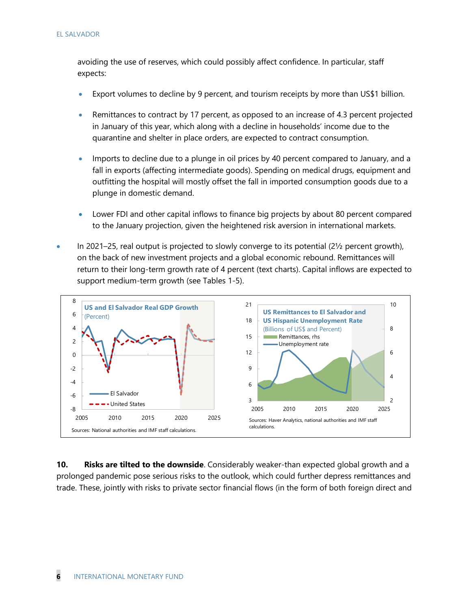avoiding the use of reserves, which could possibly affect confidence. In particular, staff expects:

- Export volumes to decline by 9 percent, and tourism receipts by more than US\$1 billion.
- Remittances to contract by 17 percent, as opposed to an increase of 4.3 percent projected in January of this year, which along with a decline in households' income due to the quarantine and shelter in place orders, are expected to contract consumption.
- Imports to decline due to a plunge in oil prices by 40 percent compared to January, and a fall in exports (affecting intermediate goods). Spending on medical drugs, equipment and outfitting the hospital will mostly offset the fall in imported consumption goods due to a plunge in domestic demand.
- Lower FDI and other capital inflows to finance big projects by about 80 percent compared to the January projection, given the heightened risk aversion in international markets.
- In 2021–25, real output is projected to slowly converge to its potential (2½ percent growth), on the back of new investment projects and a global economic rebound. Remittances will return to their long-term growth rate of 4 percent (text charts). Capital inflows are expected to support medium-term growth (see Tables 1-5).



**10. Risks are tilted to the downside**. Considerably weaker-than expected global growth and a prolonged pandemic pose serious risks to the outlook, which could further depress remittances and trade. These, jointly with risks to private sector financial flows (in the form of both foreign direct and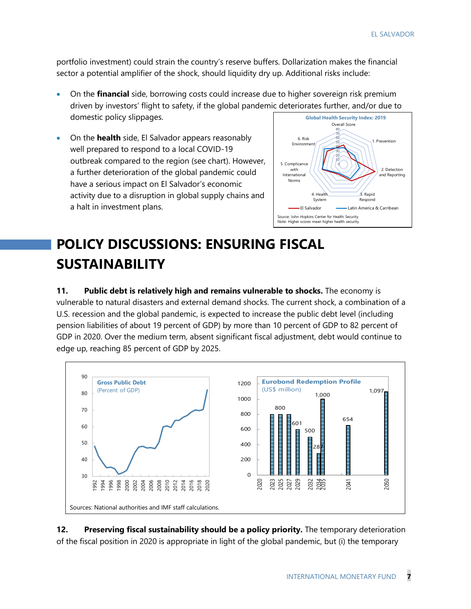portfolio investment) could strain the country's reserve buffers. Dollarization makes the financial sector a potential amplifier of the shock, should liquidity dry up. Additional risks include:

- On the **financial** side, borrowing costs could increase due to higher sovereign risk premium driven by investors' flight to safety, if the global pandemic deteriorates further, and/or due to domestic policy slippages. **Global Health Security Index: 2019**
- On the **health** side, El Salvador appears reasonably well prepared to respond to a local COVID-19 outbreak compared to the region (see chart). However, a further deterioration of the global pandemic could have a serious impact on El Salvador's economic activity due to a disruption in global supply chains and a halt in investment plans.



# **POLICY DISCUSSIONS: ENSURING FISCAL SUSTAINABILITY**

**11. Public debt is relatively high and remains vulnerable to shocks.** The economy is vulnerable to natural disasters and external demand shocks. The current shock, a combination of a U.S. recession and the global pandemic, is expected to increase the public debt level (including pension liabilities of about 19 percent of GDP) by more than 10 percent of GDP to 82 percent of GDP in 2020. Over the medium term, absent significant fiscal adjustment, debt would continue to edge up, reaching 85 percent of GDP by 2025.



**12. Preserving fiscal sustainability should be a policy priority.** The temporary deterioration of the fiscal position in 2020 is appropriate in light of the global pandemic, but (i) the temporary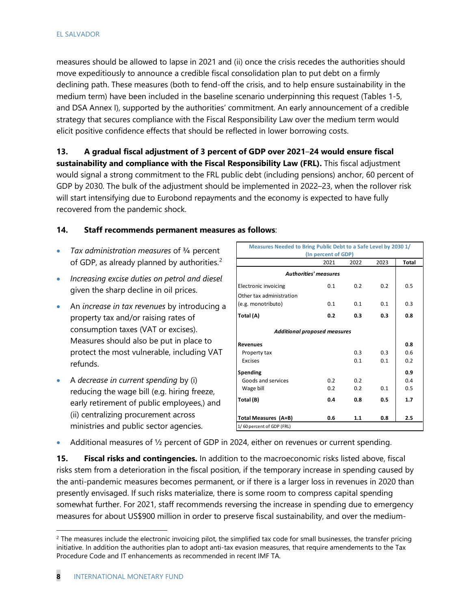measures should be allowed to lapse in 2021 and (ii) once the crisis recedes the authorities should move expeditiously to announce a credible fiscal consolidation plan to put debt on a firmly declining path. These measures (both to fend-off the crisis, and to help ensure sustainability in the medium term) have been included in the baseline scenario underpinning this request (Tables 1-5, and DSA Annex I), supported by the authorities' commitment. An early announcement of a credible strategy that secures compliance with the Fiscal Responsibility Law over the medium term would elicit positive confidence effects that should be reflected in lower borrowing costs.

**13. A gradual fiscal adjustment of 3 percent of GDP over 2021**–**24 would ensure fiscal sustainability and compliance with the Fiscal Responsibility Law (FRL).** This fiscal adjustment would signal a strong commitment to the FRL public debt (including pensions) anchor, 60 percent of GDP by 2030. The bulk of the adjustment should be implemented in 2022–23, when the rollover risk will start intensifying due to Eurobond repayments and the economy is expected to have fully recovered from the pandemic shock.

### **14. Staff recommends permanent measures as follows**:

- *Tax administration measures* of ¾ percent of GDP, as already planned by authorities.<sup>[2](#page-10-0)</sup>
- *Increasing excise duties on petrol and diesel* given the sharp decline in oil prices.
- An *increase in tax revenues* by introducing a property tax and/or raising rates of consumption taxes (VAT or excises). Measures should also be put in place to protect the most vulnerable, including VAT refunds.
- A *decrease in current spending* by (i) reducing the wage bill (e.g. hiring freeze, early retirement of public employees,) and (ii) centralizing procurement across ministries and public sector agencies.

| Measures Needed to Bring Public Debt to a Safe Level by 2030 1/ | (In percent of GDP)          |      |      |              |
|-----------------------------------------------------------------|------------------------------|------|------|--------------|
|                                                                 | 2021                         | 2022 | 2023 | <b>Total</b> |
|                                                                 | <b>Authorities' measures</b> |      |      |              |
| <b>Electronic invoicing</b>                                     | 0.1                          | 0.2  | 0.2  | 0.5          |
| Other tax administration                                        |                              |      |      |              |
| (e.g. monotributo)                                              | 0.1                          | 0.1  | 0.1  | 0.3          |
| Total (A)                                                       | 0.2                          | 0.3  | 0.3  | 0.8          |
| <b>Additional proposed measures</b>                             |                              |      |      |              |
| <b>Revenues</b>                                                 |                              |      |      | 0.8          |
| Property tax                                                    |                              | 0.3  | 0.3  | 0.6          |
| Excises                                                         |                              | 0.1  | 0.1  | 0.2          |
| Spending                                                        |                              |      |      | 0.9          |
| Goods and services                                              | 0.2                          | 0.2  |      | 0.4          |
| Wage bill                                                       | 0.2                          | 0.2  | 0.1  | 0.5          |
| Total (B)                                                       | 0.4                          | 0.8  | 0.5  | 1.7          |
| Total Measures (A+B)                                            | 0.6                          | 1.1  | 0.8  | 2.5          |

• Additional measures of  $\frac{1}{2}$  percent of GDP in 2024, either on revenues or current spending.

**15. Fiscal risks and contingencies.** In addition to the macroeconomic risks listed above, fiscal risks stem from a deterioration in the fiscal position, if the temporary increase in spending caused by the anti-pandemic measures becomes permanent, or if there is a larger loss in revenues in 2020 than presently envisaged. If such risks materialize, there is some room to compress capital spending somewhat further. For 2021, staff recommends reversing the increase in spending due to emergency measures for about US\$900 million in order to preserve fiscal sustainability, and over the medium-

<span id="page-10-0"></span> $2$  The measures include the electronic invoicing pilot, the simplified tax code for small businesses, the transfer pricing initiative. In addition the authorities plan to adopt anti-tax evasion measures, that require amendements to the Tax Procedure Code and IT enhancements as recommended in recent IMF TA.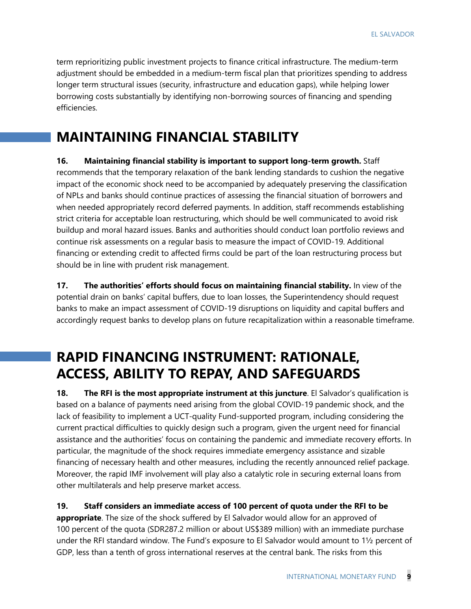term reprioritizing public investment projects to finance critical infrastructure. The medium-term adjustment should be embedded in a medium-term fiscal plan that prioritizes spending to address longer term structural issues (security, infrastructure and education gaps), while helping lower borrowing costs substantially by identifying non-borrowing sources of financing and spending efficiencies.

## **MAINTAINING FINANCIAL STABILITY**

**16. Maintaining financial stability is important to support long-term growth.** Staff recommends that the temporary relaxation of the bank lending standards to cushion the negative impact of the economic shock need to be accompanied by adequately preserving the classification of NPLs and banks should continue practices of assessing the financial situation of borrowers and when needed appropriately record deferred payments. In addition, staff recommends establishing strict criteria for acceptable loan restructuring, which should be well communicated to avoid risk buildup and moral hazard issues. Banks and authorities should conduct loan portfolio reviews and continue risk assessments on a regular basis to measure the impact of COVID-19. Additional financing or extending credit to affected firms could be part of the loan restructuring process but should be in line with prudent risk management.

**17. The authorities' efforts should focus on maintaining financial stability.** In view of the potential drain on banks' capital buffers, due to loan losses, the Superintendency should request banks to make an impact assessment of COVID-19 disruptions on liquidity and capital buffers and accordingly request banks to develop plans on future recapitalization within a reasonable timeframe.

# **RAPID FINANCING INSTRUMENT: RATIONALE, ACCESS, ABILITY TO REPAY, AND SAFEGUARDS**

**18. The RFI is the most appropriate instrument at this juncture**. El Salvador's qualification is based on a balance of payments need arising from the global COVID-19 pandemic shock, and the lack of feasibility to implement a UCT-quality Fund-supported program, including considering the current practical difficulties to quickly design such a program, given the urgent need for financial assistance and the authorities' focus on containing the pandemic and immediate recovery efforts. In particular, the magnitude of the shock requires immediate emergency assistance and sizable financing of necessary health and other measures, including the recently announced relief package. Moreover, the rapid IMF involvement will play also a catalytic role in securing external loans from other multilaterals and help preserve market access.

### **19. Staff considers an immediate access of 100 percent of quota under the RFI to be**

**appropriate**. The size of the shock suffered by El Salvador would allow for an approved of 100 percent of the quota (SDR287.2 million or about US\$389 million) with an immediate purchase under the RFI standard window. The Fund's exposure to El Salvador would amount to 1½ percent of GDP, less than a tenth of gross international reserves at the central bank. The risks from this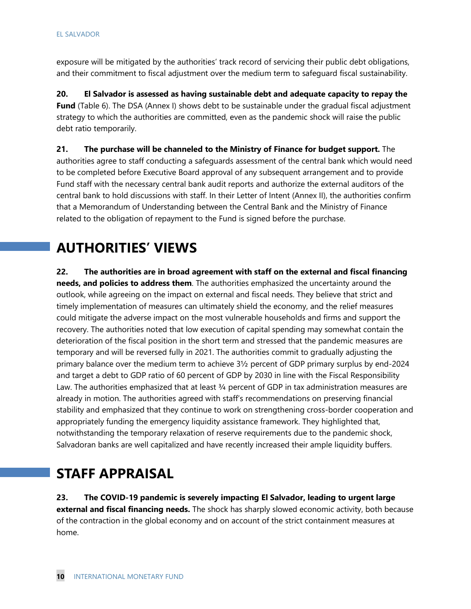exposure will be mitigated by the authorities' track record of servicing their public debt obligations, and their commitment to fiscal adjustment over the medium term to safeguard fiscal sustainability.

**20. El Salvador is assessed as having sustainable debt and adequate capacity to repay the Fund** (Table 6). The DSA (Annex I) shows debt to be sustainable under the gradual fiscal adjustment strategy to which the authorities are committed, even as the pandemic shock will raise the public debt ratio temporarily.

**21. The purchase will be channeled to the Ministry of Finance for budget support.** The authorities agree to staff conducting a safeguards assessment of the central bank which would need to be completed before Executive Board approval of any subsequent arrangement and to provide Fund staff with the necessary central bank audit reports and authorize the external auditors of the central bank to hold discussions with staff. In their Letter of Intent (Annex II), the authorities confirm that a Memorandum of Understanding between the Central Bank and the Ministry of Finance related to the obligation of repayment to the Fund is signed before the purchase.

### **AUTHORITIES' VIEWS**

**22. The authorities are in broad agreement with staff on the external and fiscal financing needs, and policies to address them**. The authorities emphasized the uncertainty around the outlook, while agreeing on the impact on external and fiscal needs. They believe that strict and timely implementation of measures can ultimately shield the economy, and the relief measures could mitigate the adverse impact on the most vulnerable households and firms and support the recovery. The authorities noted that low execution of capital spending may somewhat contain the deterioration of the fiscal position in the short term and stressed that the pandemic measures are temporary and will be reversed fully in 2021. The authorities commit to gradually adjusting the primary balance over the medium term to achieve 3½ percent of GDP primary surplus by end-2024 and target a debt to GDP ratio of 60 percent of GDP by 2030 in line with the Fiscal Responsibility Law. The authorities emphasized that at least 3/4 percent of GDP in tax administration measures are already in motion. The authorities agreed with staff's recommendations on preserving financial stability and emphasized that they continue to work on strengthening cross-border cooperation and appropriately funding the emergency liquidity assistance framework. They highlighted that, notwithstanding the temporary relaxation of reserve requirements due to the pandemic shock, Salvadoran banks are well capitalized and have recently increased their ample liquidity buffers.

# **STAFF APPRAISAL**

**23. The COVID-19 pandemic is severely impacting El Salvador, leading to urgent large external and fiscal financing needs.** The shock has sharply slowed economic activity, both because of the contraction in the global economy and on account of the strict containment measures at home.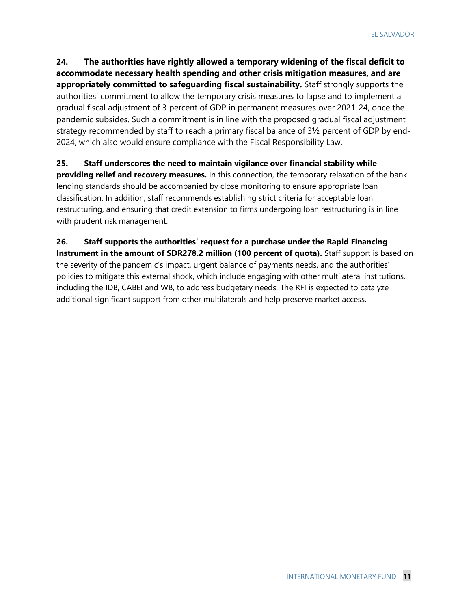**24. The authorities have rightly allowed a temporary widening of the fiscal deficit to accommodate necessary health spending and other crisis mitigation measures, and are appropriately committed to safeguarding fiscal sustainability.** Staff strongly supports the authorities' commitment to allow the temporary crisis measures to lapse and to implement a gradual fiscal adjustment of 3 percent of GDP in permanent measures over 2021-24, once the pandemic subsides. Such a commitment is in line with the proposed gradual fiscal adjustment strategy recommended by staff to reach a primary fiscal balance of 3½ percent of GDP by end-2024, which also would ensure compliance with the Fiscal Responsibility Law.

### **25. Staff underscores the need to maintain vigilance over financial stability while**

**providing relief and recovery measures.** In this connection, the temporary relaxation of the bank lending standards should be accompanied by close monitoring to ensure appropriate loan classification. In addition, staff recommends establishing strict criteria for acceptable loan restructuring, and ensuring that credit extension to firms undergoing loan restructuring is in line with prudent risk management.

**26. Staff supports the authorities' request for a purchase under the Rapid Financing Instrument in the amount of SDR278.2 million (100 percent of quota).** Staff support is based on the severity of the pandemic's impact, urgent balance of payments needs, and the authorities' policies to mitigate this external shock, which include engaging with other multilateral institutions, including the IDB, CABEI and WB, to address budgetary needs. The RFI is expected to catalyze additional significant support from other multilaterals and help preserve market access.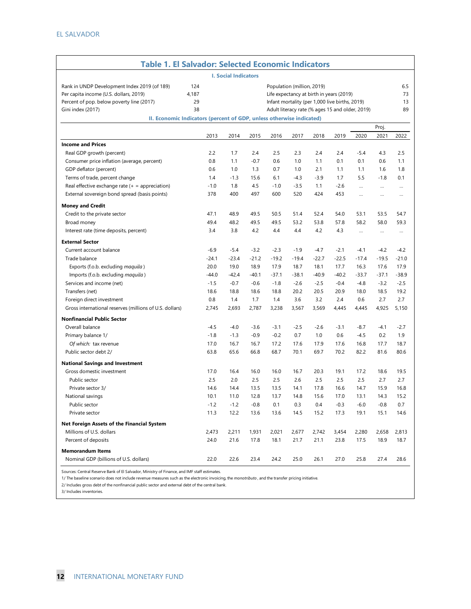| <b>Table 1. El Salvador: Selected Economic Indicators</b>                                                                                                                                                                        |                          |         |         |         |                            |                                                                                                                                               |         |           |          |                       |  |  |  |
|----------------------------------------------------------------------------------------------------------------------------------------------------------------------------------------------------------------------------------|--------------------------|---------|---------|---------|----------------------------|-----------------------------------------------------------------------------------------------------------------------------------------------|---------|-----------|----------|-----------------------|--|--|--|
| <b>I. Social Indicators</b>                                                                                                                                                                                                      |                          |         |         |         |                            |                                                                                                                                               |         |           |          |                       |  |  |  |
| Rank in UNDP Development Index 2019 (of 189)<br>Per capita income (U.S. dollars, 2019)<br>Percent of pop. below poverty line (2017)<br>Gini index (2017)<br>II. Economic Indicators (percent of GDP, unless otherwise indicated) | 124<br>4,187<br>29<br>38 |         |         |         | Population (million, 2019) | Life expectancy at birth in years (2019)<br>Infant mortality (per 1,000 live births, 2019)<br>Adult literacy rate (% ages 15 and older, 2019) |         |           |          | 6.5<br>73<br>13<br>89 |  |  |  |
| Proj.                                                                                                                                                                                                                            |                          |         |         |         |                            |                                                                                                                                               |         |           |          |                       |  |  |  |
|                                                                                                                                                                                                                                  | 2013                     | 2014    | 2015    | 2016    | 2017                       | 2018                                                                                                                                          | 2019    | 2020      | 2021     | 2022                  |  |  |  |
| <b>Income and Prices</b>                                                                                                                                                                                                         |                          |         |         |         |                            |                                                                                                                                               |         |           |          |                       |  |  |  |
| Real GDP growth (percent)                                                                                                                                                                                                        | 2.2                      | 1.7     | 2.4     | 2.5     | 2.3                        | 2.4                                                                                                                                           | 2.4     | $-5.4$    | 4.3      | 2.5                   |  |  |  |
| Consumer price inflation (average, percent)                                                                                                                                                                                      | 0.8                      | 1.1     | $-0.7$  | 0.6     | 1.0                        | 1.1                                                                                                                                           | 0.1     | 0.1       | 0.6      | 1.1                   |  |  |  |
| GDP deflator (percent)                                                                                                                                                                                                           | 0.6                      | 1.0     | 1.3     | 0.7     | 1.0                        | 2.1                                                                                                                                           | 1.1     | 1.1       | 1.6      | 1.8                   |  |  |  |
| Terms of trade, percent change                                                                                                                                                                                                   | 1.4                      | $-1.3$  | 15.6    | 6.1     | $-4.3$                     | $-3.9$                                                                                                                                        | 1.7     | 5.5       | $-1.8$   | 0.1                   |  |  |  |
| Real effective exchange rate $(+)$ = appreciation)                                                                                                                                                                               | $-1.0$                   | 1.8     | 4.5     | $-1.0$  | $-3.5$                     | 1.1                                                                                                                                           | $-2.6$  | $\cdots$  | $\cdots$ | $\cdots$              |  |  |  |
| External sovereign bond spread (basis points)                                                                                                                                                                                    | 378                      | 400     | 497     | 600     | 520                        | 424                                                                                                                                           | 453     | $\ddotsc$ | $\cdots$ | $\cdots$              |  |  |  |
| <b>Money and Credit</b>                                                                                                                                                                                                          |                          |         |         |         |                            |                                                                                                                                               |         |           |          |                       |  |  |  |
| Credit to the private sector                                                                                                                                                                                                     | 47.1                     | 48.9    | 49.5    | 50.5    | 51.4                       | 52.4                                                                                                                                          | 54.0    | 53.1      | 53.5     | 54.7                  |  |  |  |
| Broad money                                                                                                                                                                                                                      | 49.4                     | 48.2    | 49.5    | 49.5    | 53.2                       | 53.8                                                                                                                                          | 57.8    | 58.2      | 58.0     | 59.3                  |  |  |  |
| Interest rate (time deposits, percent)                                                                                                                                                                                           | 3.4                      | 3.8     | 4.2     | 4.4     | 4.4                        | 4.2                                                                                                                                           | 4.3     | $\cdots$  | $\cdots$ | $\cdots$              |  |  |  |
| <b>External Sector</b>                                                                                                                                                                                                           |                          |         |         |         |                            |                                                                                                                                               |         |           |          |                       |  |  |  |
| Current account balance                                                                                                                                                                                                          | $-6.9$                   | $-5.4$  | $-3.2$  | $-2.3$  | $-1.9$                     | $-4.7$                                                                                                                                        | $-2.1$  | $-4.1$    | $-4.2$   | $-4.2$                |  |  |  |
| Trade balance                                                                                                                                                                                                                    | $-24.1$                  | $-23.4$ | $-21.2$ | $-19.2$ | $-19.4$                    | $-22.7$                                                                                                                                       | $-22.5$ | $-17.4$   | $-19.5$  | $-21.0$               |  |  |  |
|                                                                                                                                                                                                                                  | 20.0                     | 19.0    | 18.9    | 17.9    | 18.7                       | 18.1                                                                                                                                          | 17.7    | 16.3      | 17.6     | 17.9                  |  |  |  |
| Exports (f.o.b. excluding maquila)                                                                                                                                                                                               | $-44.0$                  |         |         |         |                            |                                                                                                                                               |         |           |          |                       |  |  |  |
| Imports (f.o.b. excluding maquila)                                                                                                                                                                                               |                          | $-42.4$ | $-40.1$ | $-37.1$ | $-38.1$                    | $-40.9$                                                                                                                                       | $-40.2$ | $-33.7$   | $-37.1$  | $-38.9$               |  |  |  |
| Services and income (net)                                                                                                                                                                                                        | $-1.5$                   | $-0.7$  | $-0.6$  | $-1.8$  | $-2.6$                     | $-2.5$                                                                                                                                        | $-0.4$  | $-4.8$    | $-3.2$   | $-2.5$                |  |  |  |
| Transfers (net)                                                                                                                                                                                                                  | 18.6                     | 18.8    | 18.6    | 18.8    | 20.2                       | 20.5                                                                                                                                          | 20.9    | 18.0      | 18.5     | 19.2                  |  |  |  |
| Foreign direct investment                                                                                                                                                                                                        | 0.8                      | 1.4     | 1.7     | 1.4     | 3.6                        | 3.2                                                                                                                                           | 2.4     | 0.6       | 2.7      | 2.7                   |  |  |  |
| Gross international reserves (millions of U.S. dollars)                                                                                                                                                                          | 2,745                    | 2,693   | 2,787   | 3,238   | 3,567                      | 3,569                                                                                                                                         | 4,445   | 4,445     | 4,925    | 5,150                 |  |  |  |
| <b>Nonfinancial Public Sector</b>                                                                                                                                                                                                |                          |         |         |         |                            |                                                                                                                                               |         |           |          |                       |  |  |  |
| Overall balance                                                                                                                                                                                                                  | $-4.5$                   | $-4.0$  | $-3.6$  | $-3.1$  | $-2.5$                     | $-2.6$                                                                                                                                        | $-3.1$  | $-8.7$    | $-4.1$   | $-2.7$                |  |  |  |
| Primary balance 1/                                                                                                                                                                                                               | $-1.8$                   | $-1.3$  | $-0.9$  | $-0.2$  | 0.7                        | 1.0                                                                                                                                           | 0.6     | $-4.5$    | 0.2      | 1.9                   |  |  |  |
| Of which: tax revenue                                                                                                                                                                                                            | 17.0                     | 16.7    | 16.7    | 17.2    | 17.6                       | 17.9                                                                                                                                          | 17.6    | 16.8      | 17.7     | 18.7                  |  |  |  |
| Public sector debt 2/                                                                                                                                                                                                            | 63.8                     | 65.6    | 66.8    | 68.7    | 70.1                       | 69.7                                                                                                                                          | 70.2    | 82.2      | 81.6     | 80.6                  |  |  |  |
| <b>National Savings and Investment</b>                                                                                                                                                                                           |                          |         |         |         |                            |                                                                                                                                               |         |           |          |                       |  |  |  |
| Gross domestic investment                                                                                                                                                                                                        | 17.0                     | 16.4    | 16.0    | 16.0    | 16.7                       | 20.3                                                                                                                                          | 19.1    | 17.2      | 18.6     | 19.5                  |  |  |  |
| Public sector                                                                                                                                                                                                                    | 2.5                      | 2.0     | 2.5     | 2.5     | 2.6                        | 2.5                                                                                                                                           | 2.5     | 2.5       | 2.7      | 2.7                   |  |  |  |
| Private sector 3/                                                                                                                                                                                                                | 14.6                     | 14.4    | 13.5    | 13.5    | 14.1                       | 17.8                                                                                                                                          | 16.6    | 14.7      | 15.9     | 16.8                  |  |  |  |
| National savings                                                                                                                                                                                                                 | 10.1                     | 11.0    | 12.8    | 13.7    | 14.8                       | 15.6                                                                                                                                          | 17.0    | 13.1      | 14.3     | 15.2                  |  |  |  |
| Public sector                                                                                                                                                                                                                    | $-1.2$                   | $-1.2$  | $-0.8$  | 0.1     | 0.3                        | 0.4                                                                                                                                           | $-0.3$  | $-6.0$    | $-0.8$   | 0.7                   |  |  |  |
| Private sector                                                                                                                                                                                                                   | 11.3                     | 12.2    | 13.6    | 13.6    | 14.5                       | 15.2                                                                                                                                          | 17.3    | 19.1      | 15.1     | 14.6                  |  |  |  |
| Net Foreign Assets of the Financial System                                                                                                                                                                                       |                          |         |         |         |                            |                                                                                                                                               |         |           |          |                       |  |  |  |
| Millions of U.S. dollars                                                                                                                                                                                                         | 2,473                    | 2,211   | 1,931   | 2,021   | 2,677                      | 2,742                                                                                                                                         | 3,454   | 2,280     | 2,658    | 2,813                 |  |  |  |
| Percent of deposits                                                                                                                                                                                                              | 24.0                     | 21.6    | 17.8    | 18.1    | 21.7                       | 21.1                                                                                                                                          | 23.8    | 17.5      | 18.9     | 18.7                  |  |  |  |
| <b>Memorandum Items</b>                                                                                                                                                                                                          |                          |         |         |         |                            |                                                                                                                                               |         |           |          |                       |  |  |  |
| Nominal GDP (billions of U.S. dollars)                                                                                                                                                                                           | 22.0                     | 22.6    | 23.4    | 24.2    | 25.0                       | 26.1                                                                                                                                          | 27.0    | 25.8      | 27.4     | 28.6                  |  |  |  |

Sources: Central Reserve Bank of El Salvador, Ministry of Finance, and IMF staff estimates.

1/ The baseline scenario does not include revenue measures such as the electronic invoicing, the *monotributo* , and the transfer pricing initiative.

2/ Includes gross debt of the nonfinancial public sector and external debt of the central bank.

3/ Includes inventories.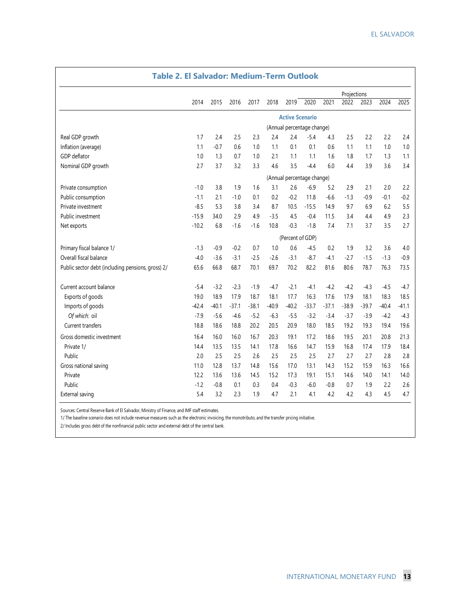|                                                   | <b>Table 2. El Salvador: Medium-Term Outlook</b> |         |         |         |         |                            |         |         |         |         |         |         |  |  |
|---------------------------------------------------|--------------------------------------------------|---------|---------|---------|---------|----------------------------|---------|---------|---------|---------|---------|---------|--|--|
|                                                   | Projections                                      |         |         |         |         |                            |         |         |         |         |         |         |  |  |
|                                                   | 2014                                             | 2015    | 2016    | 2017    | 2018    | 2019                       | 2020    | 2021    | 2022    | 2023    | 2024    | 2025    |  |  |
|                                                   |                                                  |         |         |         |         | <b>Active Scenario</b>     |         |         |         |         |         |         |  |  |
|                                                   |                                                  |         |         |         |         | (Annual percentage change) |         |         |         |         |         |         |  |  |
| Real GDP growth                                   | 1.7                                              | 2.4     | 2.5     | 2.3     | 2.4     | 2.4                        | $-5.4$  | 4.3     | 2.5     | 2.2     | 2.2     | 2.4     |  |  |
| Inflation (average)                               | 1.1                                              | $-0.7$  | 0.6     | 1.0     | 1.1     | 0.1                        | 0.1     | 0.6     | 1.1     | 1.1     | 1.0     | 1.0     |  |  |
| GDP deflator                                      | 1.0                                              | 1.3     | 0.7     | 1.0     | 2.1     | 1.1                        | 1.1     | 1.6     | 1.8     | 1.7     | 1.3     | 1.1     |  |  |
| Nominal GDP growth                                | 2.7                                              | 3.7     | 3.2     | 3.3     | 4.6     | 3.5                        | $-4.4$  | 6.0     | 4.4     | 3.9     | 3.6     | 3.4     |  |  |
|                                                   |                                                  |         |         |         |         | (Annual percentage change) |         |         |         |         |         |         |  |  |
| Private consumption                               | $-1.0$                                           | 3.8     | 1.9     | 1.6     | 3.1     | 2.6                        | $-6.9$  | 5.2     | 2.9     | 2.1     | 2.0     | 2.2     |  |  |
| Public consumption                                | $-1.1$                                           | 2.1     | $-1.0$  | 0.1     | 0.2     | $-0.2$                     | 11.8    | $-6.6$  | $-1.3$  | $-0.9$  | $-0.1$  | $-0.2$  |  |  |
| Private investment                                | $-8.5$                                           | 5.3     | 3.8     | 3.4     | 8.7     | 10.5                       | $-15.5$ | 14.9    | 9.7     | 6.9     | 6.2     | 5.5     |  |  |
| Public investment                                 | $-15.9$                                          | 34.0    | 2.9     | 4.9     | $-3.5$  | 4.5                        | $-0.4$  | 11.5    | 3.4     | 4.4     | 4.9     | 2.3     |  |  |
| Net exports                                       | $-10.2$                                          | 6.8     | $-1.6$  | $-1.6$  | 10.8    | $-0.3$                     | $-1.8$  | 7.4     | 7.1     | 3.7     | 3.5     | 2.7     |  |  |
|                                                   |                                                  |         |         |         |         | (Percent of GDP)           |         |         |         |         |         |         |  |  |
| Primary fiscal balance 1/                         | $-1.3$                                           | $-0.9$  | $-0.2$  | 0.7     | 1.0     | 0.6                        | $-4.5$  | 0.2     | 1.9     | 3.2     | 3.6     | 4.0     |  |  |
| Overall fiscal balance                            | $-4.0$                                           | $-3.6$  | $-3.1$  | $-2.5$  | $-2.6$  | $-3.1$                     | $-8.7$  | $-4.1$  | $-2.7$  | $-1.5$  | $-1.3$  | $-0.9$  |  |  |
| Public sector debt (including pensions, gross) 2/ | 65.6                                             | 66.8    | 68.7    | 70.1    | 69.7    | 70.2                       | 82.2    | 81.6    | 80.6    | 78.7    | 76.3    | 73.5    |  |  |
| Current account balance                           | $-5.4$                                           | $-3.2$  | $-2.3$  | $-1.9$  | $-4.7$  | $-2.1$                     | $-4.1$  | $-4.2$  | $-4.2$  | $-4.3$  | $-4.5$  | $-4.7$  |  |  |
| Exports of goods                                  | 19.0                                             | 18.9    | 17.9    | 18.7    | 18.1    | 17.7                       | 16.3    | 17.6    | 17.9    | 18.1    | 18.3    | 18.5    |  |  |
| Imports of goods                                  | $-42.4$                                          | $-40.1$ | $-37.1$ | $-38.1$ | $-40.9$ | $-40.2$                    | $-33.7$ | $-37.1$ | $-38.9$ | $-39.7$ | $-40.4$ | $-41.1$ |  |  |
| Of which: oil                                     | $-7.9$                                           | $-5.6$  | $-4.6$  | $-5.2$  | $-6.3$  | $-5.5$                     | $-3.2$  | $-3.4$  | $-3.7$  | $-3.9$  | $-4.2$  | $-4.3$  |  |  |
| Current transfers                                 | 18.8                                             | 18.6    | 18.8    | 20.2    | 20.5    | 20.9                       | 18.0    | 18.5    | 19.2    | 19.3    | 19.4    | 19.6    |  |  |
| Gross domestic investment                         | 16.4                                             | 16.0    | 16.0    | 16.7    | 20.3    | 19.1                       | 17.2    | 18.6    | 19.5    | 20.1    | 20.8    | 21.3    |  |  |
| Private 1/                                        | 14.4                                             | 13.5    | 13.5    | 14.1    | 17.8    | 16.6                       | 14.7    | 15.9    | 16.8    | 17.4    | 17.9    | 18.4    |  |  |
| Public                                            | 2.0                                              | 2.5     | 2.5     | 2.6     | 2.5     | 2.5                        | 2.5     | 2.7     | 2.7     | 2.7     | 2.8     | 2.8     |  |  |
| Gross national saving                             | 11.0                                             | 12.8    | 13.7    | 14.8    | 15.6    | 17.0                       | 13.1    | 14.3    | 15.2    | 15.9    | 16.3    | 16.6    |  |  |
| Private                                           | 12.2                                             | 13.6    | 13.6    | 14.5    | 15.2    | 17.3                       | 19.1    | 15.1    | 14.6    | 14.0    | 14.1    | 14.0    |  |  |
| Public                                            | $-1.2$                                           | $-0.8$  | 0.1     | 0.3     | 0.4     | $-0.3$                     | $-6.0$  | $-0.8$  | 0.7     | 1.9     | 2.2     | 2.6     |  |  |
| External saving                                   | 5.4                                              | 3.2     | 2.3     | 1.9     | 4.7     | 2.1                        | 4.1     | 4.2     | 4.2     | 4.3     | 4.5     | 4.7     |  |  |

Sources: Central Reserve Bank of El Salvador, Ministry of Finance, and IMF staff estimates.

1/ The baseline scenario does not include revenue measures such as the electronic invoicing, the monotributo, and the transfer pricing initiative.

2/ Includes gross debt of the nonfinancial public sector and external debt of the central bank.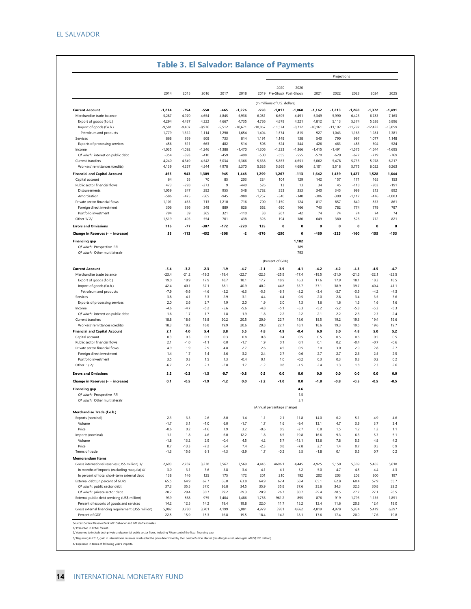|                                                                                             |                   |                   |                 |                   |                   |                   |                               |                   |                   | Projections       |                   |                   |                       |
|---------------------------------------------------------------------------------------------|-------------------|-------------------|-----------------|-------------------|-------------------|-------------------|-------------------------------|-------------------|-------------------|-------------------|-------------------|-------------------|-----------------------|
|                                                                                             |                   |                   |                 |                   |                   |                   | 2020                          | 2020              |                   |                   |                   |                   |                       |
|                                                                                             | 2014              | 2015              | 2016            | 2017              | 2018              |                   | 2019 Pre-Shock Post-Shock     |                   | 2021              | 2022              | 2023              | 2024              | 2025                  |
|                                                                                             |                   |                   |                 |                   |                   |                   | (In millions of U.S. dollars) |                   |                   |                   |                   |                   |                       |
| <b>Current Account</b>                                                                      | $-1,214$          | $-754$            | -550            | -465              | -1,226            | -558              | -1,017                        | -1,068            | -1,162            | -1,213            | $-1,268$          | $-1,372$          | -1,491                |
| Merchandise trade balance                                                                   | $-5,287$          | $-4,970$          | $-4,654$        | $-4,845$          | $-5,936$          | $-6,081$          | $-6,695$                      | $-4,491$          | $-5,349$          | $-5,990$          | $-6,423$          | $-6,783$          | $-7,163$              |
| Export of goods (f.o.b.)                                                                    | 4,294             | 4,437             | 4,322           | 4,667             | 4,735             | 4,786             | 4,879                         | 4,221             | 4,812             | 5,113             | 5,374             | 5,638             | 5,896                 |
| Import of goods (f.o.b.)                                                                    | $-9,581$          | $-9,407$          | $-8,976$        | $-9,512$          | $-10,671$         | $-10,867$         | $-11,574$                     | $-8,712$          | $-10,161$         | $-11,102$         | $-11,797$         | $-12,422$         | $-13,059$             |
| Petroleum and products<br>Services                                                          | $-1,779$<br>868   | $-1,312$<br>959   | $-1,114$<br>808 | $-1,290$<br>733   | $-1,654$<br>814   | $-1,494$<br>1,191 | $-1,574$<br>1,148             | $-815$<br>138     | $-927$<br>540     | $-1,043$<br>790   | $-1,163$<br>997   | $-1,281$<br>1,077 | $-1,381$<br>1,148     |
| Exports of processing services                                                              | 456               | 611               | 663             | 482               | 514               | 506               | 524                           | 344               | 426               | 463               | 483               | 504               | 524                   |
| Income                                                                                      | $-1,035$          | $-1,092$          | -1,246          | $-1,388$          | $-1,470$          | $-1,306$          | $-1,323$                      | $-1,366$          | -1,415            | -1,491            | $-1,575$          | $-1,644$          | $-1,695$              |
| Of which: interest on public debt                                                           | $-354$            | $-393$            | $-410$          | $-459$            | $-498$            | $-500$            | $-555$                        | $-555$            | $-570$            | $-620$            | $-677$            | $-719$            | $-769$                |
| Current transfers                                                                           | 4,240             | 4,349             | 4,542           | 5,034             | 5,366             | 5,638             | 5,853                         | 4,651             | 5,062             | 5,478             | 5,733             | 5,978             | 6,217                 |
| Workers' remittances (credits)                                                              | 4,139             | 4,257             | 4,544           | 4,978             | 5,370             | 5,626             | 5,869                         | 4,686             | 5,101             | 5,518             | 5,775             | 6,022             | 6,263                 |
| <b>Financial and Capital Account</b>                                                        | 465               | 943               | 1,309           | 945               | 1,448             | 1,299             | 1,267                         | -113              | 1,642             | 1,439             | 1,427             | 1,528             | 1,644                 |
| Capital account                                                                             | 64                | 65                | 70              | 85                | 203               | 224               | 104                           | 129               | 142               | 157               | 171               | 165               | 153                   |
| Public sector financial flows                                                               | 473               | $-228$            | $-273$          | 9                 | $-440$            | 526               | 13                            | 13                | 34                | 45                | $-118$            | $-203$            | $-191$                |
| Disbursements                                                                               | 1,059             | 247               | 292             | 955               | 548               | 1,782             | 353                           | 353               | 340               | 345               | 999               | 213               | 892                   |
| Amortization<br>Private sector financial flows                                              | $-586$<br>1,101   | $-475$<br>455     | -565<br>713     | $-945$<br>1,210   | $-988$<br>716     | $-1,257$<br>700   | $-340$<br>1,150               | $-340$<br>124     | $-306$<br>817     | $-300$<br>857     | $-1,117$<br>849   | $-416$<br>853     | $-1,083$<br>861       |
| Foreign direct investment                                                                   | 306               | 396               | 348             | 889               | 826               | 662               | 690                           | 166               | 743               | 782               | 774               | 779               | 787                   |
| Portfolio investment                                                                        | 794               | 59                | 365             | 321               | $-110$            | 38                | 267                           | $-42$             | 74                | 74                | 74                | 74                | 74                    |
| Other 1/2/                                                                                  | -1,519            | 495               | 554             | -701              | 438               | $-326$            | 194                           | -380              | 649               | 380               | 526               | 712               | 821                   |
| <b>Errors and Omissions</b>                                                                 | 716               | $-77$             | -307            | $-172$            | -220              | 135               | 0                             | $\mathbf 0$       | 0                 | 0                 | 0                 | 0                 | 0                     |
| Change in Reserves (- = increase)                                                           | 33                | $-113$            | -452            | $-308$            | -2                | -876              | $-250$                        | $\mathbf 0$       | $-480$            | $-225$            | $-160$            | $-155$            | $-153$                |
|                                                                                             |                   |                   |                 |                   |                   |                   |                               |                   |                   |                   |                   |                   |                       |
| <b>Financing gap</b><br>Of which: Prospective RFI                                           |                   |                   |                 |                   |                   |                   |                               | 1,182<br>389      |                   |                   |                   |                   |                       |
| Of which: Other multilaterals                                                               |                   |                   |                 |                   |                   |                   |                               | 793               |                   |                   |                   |                   |                       |
|                                                                                             |                   |                   |                 |                   |                   |                   |                               |                   |                   |                   |                   |                   |                       |
|                                                                                             |                   |                   |                 |                   |                   |                   | (Percent of GDP)              |                   |                   |                   |                   |                   |                       |
| <b>Current Account</b>                                                                      | $-5.4$            | $-3.2$            | $-2.3$          | $-1.9$            | $-4.7$            | $-2.1$            | $-3.9$                        | $-4.1$            | $-4.2$            | $-4.2$            | $-4.3$            | $-4.5$            | $-4.7$                |
| Merchandise trade balance                                                                   | $-23.4$           | $-21.2$           | $-19.2$         | $-19.4$           | $-22.7$           | $-22.5$           | $-25.9$                       | $-17.4$           | $-19.5$           | $-21.0$           | $-21.6$           | $-22.1$           | $-22.5$               |
| Export of goods (f.o.b.)                                                                    | 19.0              | 18.9              | 17.9            | 18.7              | 18.1              | 17.7              | 18.9                          | 16.3              | 17.6              | 17.9              | 18.1              | 18.3              | 18.5                  |
| Import of goods (f.o.b.)                                                                    | $-42.4$<br>$-7.9$ | $-40.1$<br>$-5.6$ | $-37.1$<br>-4.6 | $-38.1$<br>$-5.2$ | $-40.9$<br>$-6.3$ | $-40.2$<br>$-5.5$ | $-44.8$<br>$-6.1$             | $-33.7$<br>$-3.2$ | $-37.1$<br>$-3.4$ | $-38.9$<br>$-3.7$ | $-39.7$<br>$-3.9$ | $-40.4$<br>$-4.2$ | $-41.1$<br>$-4.3$     |
| Petroleum and products<br>Services                                                          | 3.8               | 4.1               | 3.3             | 2.9               | 3.1               | 4.4               | 4.4                           | 0.5               | 2.0               | 2.8               | 3.4               | 3.5               | 3.6                   |
| Exports of processing services                                                              | 2.0               | 2.6               | 2.7             | 1.9               | 2.0               | 1.9               | 20                            | 1.3               | 1.6               | 1.6               | 1.6               | 1.6               | 1.6                   |
| Income                                                                                      | $-4.6$            | $-4.7$            | $-5.2$          | $-5.6$            | $-5.6$            | $-4.8$            | $-5.1$                        | $-5.3$            | $-5.2$            | $-5.2$            | $-5.3$            | $-5.3$            | $-5.3$                |
| Of which: interest on public debt                                                           | $-1.6$            | $-1.7$            | $-1.7$          | $-1.8$            | $-1.9$            | $-1.8$            | $-2.2$                        | $-2.2$            | $-2.1$            | $-2.2$            | $-2.3$            | $-2.3$            | $-2.4$                |
| Current transfers                                                                           | 18.8              | 18.6              | 18.8            | 20.2              | 20.5              | 20.9              | 22.7                          | 18.0              | 18.5              | 19.2              | 19.3              | 19.4              | 19.6                  |
| Workers' remittances (credits)                                                              | 18.3              | 18.2              | 18.8            | 19.9              | 20.6              | 20.8              | 22.7                          | 18.1              | 18.6              | 19.3              | 19.5              | 19.6              | 19.7                  |
| <b>Financial and Capital Account</b>                                                        | 2.1               | 4.0               | 5.4             | 3.8               | 5.5               | 4.8               | 4.9                           | $-0.4$            | 6.0               | 5.0               | 4.8               | 5.0               | 5.2                   |
| Capital account                                                                             | 0.3<br>2.1        | 0.3<br>$-1.0$     | 0.3<br>$-1.1$   | 0.3<br>0.0        | 0.8<br>$-1.7$     | 0.8<br>1.9        | 0.4<br>0.1                    | 0.5<br>0.1        | 0.5<br>0.1        | 0.5<br>0.2        | 0.6<br>$-0.4$     | 0.5<br>$-0.7$     | 0.5                   |
| Public sector financial flows<br>Private sector financial flows                             | 4.9               | 1.9               | 2.9             | 4.8               | 2.7               | 2.6               | 4.5                           | 0.5               | 3.0               | 3.0               | 2.9               | 2.8               | $-0.6$<br>2.7         |
| Foreign direct investment                                                                   | 1.4               | 1.7               | 1.4             | 3.6               | 3.2               | 2.4               | 2.7                           | 0.6               | 2.7               | 2.7               | 2.6               | 2.5               | 2.5                   |
| Portfolio investment                                                                        | 3.5               | 0.3               | 1.5             | 1.3               | -0.4              | 0.1               | 1.0                           | -0.2              | 0.3               | 0.3               | 0.3               | 0.2               | 0.2                   |
| Other 1/2/                                                                                  | $-6.7$            | 2.1               | 2.3             | $-2.8$            | 1.7               | $-1.2$            | 0.8                           | $-1.5$            | 2.4               | 1.3               | 1.8               | 2.3               | 2.6                   |
| <b>Errors and Omissions</b>                                                                 | 3.2               | $-0.3$            | $-1.3$          | $-0.7$            | $-0.8$            | 0.5               | 0.0                           | 0.0               | 0.0               | 0.0               | 0.0               | 0.0               | 0.0                   |
|                                                                                             |                   |                   |                 |                   |                   |                   |                               |                   |                   |                   |                   |                   |                       |
| Change in Reserves (- = increase)                                                           | 0.1               | $-0.5$            | $-1.9$          | $-1.2$            | 0.0               | $-3.2$            | $-1.0$                        | 0.0               | $-1.8$            | $-0.8$            | $-0.5$            | $-0.5$            | $-0.5$                |
| <b>Financing gap</b>                                                                        |                   |                   |                 |                   |                   |                   |                               | 4.6               |                   |                   |                   |                   |                       |
| Of which: Prospective RFI                                                                   |                   |                   |                 |                   |                   |                   |                               | 1.5               |                   |                   |                   |                   |                       |
| Of which: Other multilaterals                                                               |                   |                   |                 |                   |                   |                   |                               | 3.1               |                   |                   |                   |                   |                       |
| Merchandise Trade (f.o.b.)                                                                  |                   |                   |                 |                   |                   |                   | (Annual percentage change)    |                   |                   |                   |                   |                   |                       |
| Exports (nominal)                                                                           | $-2.3$            | 3.3               | $-2.6$          | 8.0               | 1.4               | 1.1               | 2.1                           | $-11.8$           | 14.0              | 6.2               | 5.1               | 4.9               | 4.6                   |
| Volume                                                                                      | $-1.7$            | 3.1               | $-1.0$          | 6.0               | $-1.7$            | 1.7               | 1.6                           | $-9.4$            | 13.1              | 4.7               | 3.9               | 3.7               | 3.4                   |
| Price                                                                                       | $-0.6$            | 0.2               | $-1.6$          | 1.9               | 3.2               | $-0.6$            | 0.5                           | $-2.7$            | 0.8               | 1.5               | 1.2               | 1.2               | 1.1                   |
| Imports (nominal)                                                                           | $-1.1$            | $-1.8$            | $-4.6$          | 6.0               | 12.2              | 1.8               | 6.5                           | $-19.8$           | 16.6              | 9.3               | 6.3               | 5.3               | 5.1                   |
| Volume                                                                                      | $-1.8$            | 13.2              | 2.9             | $-0.4$            | 4.5               | 4.2               | 5.7                           | $-13.1$           | 13.6              | 7.8               | 5.5               | 4.8               | 4.2                   |
| Price                                                                                       | 0.7               | $-13.3$           | $-7.2$          | 6.4               | 7.4               | $-2.3$            | 0.8                           | $-7.8$            | 2.7               | 1.4               | 0.7               | 0.5               | 0.9                   |
| Terms of trade                                                                              | $-1.3$            | 15.6              | 6.1             | $-4.3$            | $-3.9$            | 1.7               | $-0.2$                        | 5.5               | $-1.8$            | 0.1               | 0.5               | 0.7               | 0.2                   |
| <b>Memorandum Items</b>                                                                     |                   |                   |                 |                   |                   |                   |                               |                   |                   |                   |                   |                   |                       |
| Gross international reserves (US\$ million) 3/                                              | 2,693             | 2,787             | 3,238           | 3,567             | 3,569             | 4,445             | 4696.1                        | 4,445             | 4,925             | 5,150             | 5,309             | 5,465             | 5,618                 |
| In months of imports (excluding maquila) 4/<br>In percent of total short-term external debt | 3.0<br>138        | 3.1<br>146        | 3.6<br>125      | 3.8<br>175        | 3.4<br>172        | 4.1<br>201        | 4.1<br>210                    | 5.2<br>192        | 5.0<br>202        | 4.7<br>203        | 4.5<br>202        | 4.4<br>200        | 4.3<br>197            |
| External debt (in percent of GDP)                                                           | 65.5              | 64.9              | 67.7            | 66.0              | 63.8              | 64.9              | 62.4                          | 68.4              | 65.1              | 62.8              | 60.4              | 57.9              | 55.7                  |
|                                                                                             | 37.3              | 35.5              | 37.0            | 36.8              | 34.5              | 35.9              | 35.8                          | 37.6              | 35.6              | 34.3              | 32.6              | 30.8              | 29.2                  |
|                                                                                             |                   |                   |                 |                   |                   |                   |                               |                   |                   |                   |                   |                   |                       |
| Of which : public sector debt<br>Of which: private sector debt                              | 28.2              | 29.4              | 30.7            | 29.2              | 29.3              | 28.9              | 26.7                          | 30.7              | 29.4              | 28.5              | 27.7              | 27.1              |                       |
| External public debt servicing (US\$ million)                                               | 939               | 868               | 975             | 1,404             | 1,486             | 1,756             | 961.2                         | 895               | 876               | 919               | 1,793             | 1,135             |                       |
| Percent of exports of goods and services                                                    | 14.2<br>5,082     | 12.5              | 14.2            | 19.4              | 19.8              | 22.0              | 11.7                          | 15.2              | 12.4              | 11.6<br>4,978     | 20.8              | 12.4<br>5,419     | 26.5<br>1,851<br>19.0 |

Sources: Central Reserve Bank of El Salvador and IMF staff estimates.<br>1/ Presented in BPM6 format.<br>2/ Assumed to include both private and potential public sector flows, including 70 percent of the fiscal financing gap.<br>3/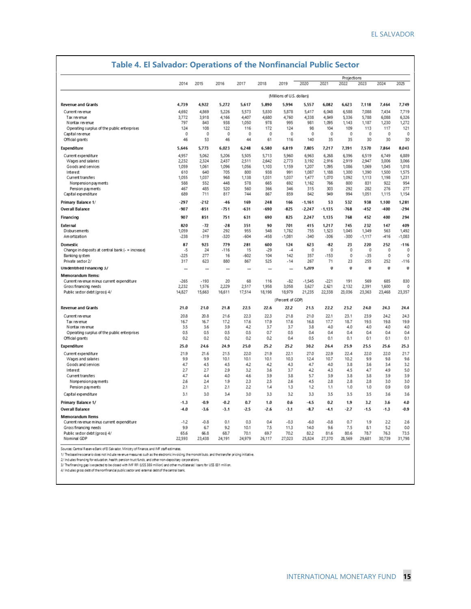|                                                                      |                  |                  |                  |                |               |                            |                  |               | Projections   |                |                |               |
|----------------------------------------------------------------------|------------------|------------------|------------------|----------------|---------------|----------------------------|------------------|---------------|---------------|----------------|----------------|---------------|
|                                                                      | 2014             | 2015             | 2016             | 2017           | 2018          | 2019                       | 2020             | 2021          | 2022          | 2023           | 2024           | 2025          |
|                                                                      |                  |                  |                  |                |               | (Millions of U.S. dollars) |                  |               |               |                |                |               |
| <b>Revenue and Grants</b>                                            | 4,739            | 4,922            | 5,272            | 5,617          | 5,890         | 5,994                      | 5,557            | 6,082         | 6,623         | 7,118          | 7,464          | 7,749         |
| Current revenue                                                      | 4,692            | 4,869            | 5,226            | 5,573          | 5,830         | 5,878                      | 5,417            | 6,048         | 6,588         | 7,088          | 7,434          | 7,719         |
| Tax revenue                                                          | 3,772            | 3,918            | 4,166            | 4,407          | 4,680         | 4,760                      | 4,338            | 4,849         | 5.336         | 5,788          | 6,088          | 6,326         |
| N ontax revenue                                                      | 797              | 843              | 938              | 1,050          | 978           | 995                        | 981              | 1,095         | 1,143         | 1,187          | 1,230          | 1,272         |
| Operating surplus of the public enterprises                          | 124<br>$\circ$   | 108<br>0         | 122<br>0         | 116<br>$\circ$ | 172<br>0      | 124<br>0                   | 98<br>0          | 104<br>0      | 109<br>0      | 113<br>$\circ$ | 117<br>$\circ$ | 121<br>0      |
| Capital revenue<br>Official grants                                   | 46               | 53               | 46               | 44             | 61            | 116                        | 140              | 35            | 35            | 30             | 30             | 30            |
| Expenditure                                                          | 5,646            | 5,773            | 6,023            | 6,248          | 6,580         | 6,819                      | 7,805            | 7,217         | 7,391         | 7,570          | 7,864          | 8,043         |
| Current expenditure                                                  | 4,957            | 5,062            | 5,206            | 5,505          | 5,713         | 5,960                      | 6,963            | 6,268         | 6,396         | 6,519          | 6,749          | 6,889         |
| Wages and salaries                                                   | 2,232            | 2.324            | 2,437            | 2.511          | 2,642         | 2,773                      | 3,192            | 2.916         | 2919          | 2.947          | 3,006          | 3,066         |
| Goods and services                                                   | 1,059            | 1,061            | 1,096            | 1,056          | 1,103         | 1,159                      | 1,207            | 1,095         | 1,086         | 1,069          | 1,045          | 1,018         |
| Interest                                                             | 610              | 640              | 705              | 800            | 938           | 991                        | 1,087            | 1,188         | 1,300         | 1,390          | 1,500          | 1,575         |
| Current transfers                                                    | 1.055            | 1.037            | 968              | 1.138          | 1.031         | 1,037                      | 1,477            | 1,070         | 1.092         | 1.113          | 1,198          | 1,231         |
| Nonpension pay ments                                                 | 588              | 552              | 448              | 578            | 665           | 692                        | 1,162            | 766           | 800           | 831            | 922            | 954           |
| Pension payments<br>Capital expenditure                              | 467<br>689       | 485<br>711       | 520<br>817       | 560<br>744     | 366<br>867    | 346<br>859                 | 315<br>842       | 303<br>949    | 292<br>994    | 282<br>1,051   | 276<br>1,115   | 277<br>1,154  |
| Primary Balance 1/                                                   | $-297$           | $-212$           | $-46$            | 169            | 248           | 166                        | $-1,161$         | 53            | 532           | 938            | 1,100          | 1,281         |
| <b>Overall Balance</b>                                               | -907             | $-851$           | $-751$           | -631           | -690          | $-825$                     | $-2,247$         | $-1,135$      | $-768$        | -452           | $-400$         | $-294$        |
| Financing                                                            | 907              | 851              | 751              | 631            | 690           | 825                        | 2,247            | 1,135         | 768           | 452            | 400            | 294           |
| External                                                             | 820              | $-72$            | $-28$            | 351            | 90            | 701                        | 415              | 1,217         | 745           | 232            | 147            | 409           |
| Disbursements                                                        | 1,059            | 247              | 292              | 955            | 548           | 1,782                      | 755              | 1,523         | 1,045         | 1,349          | 563            | 1,492         |
| Amortization                                                         | $-238$           | $-319$           | $-320$           | $-604$         | -458          | $-1,081$                   | $-340$           | $-306$        | $-300$        | $-1,117$       | $-416$         | $-1,083$      |
| Domestic                                                             | 87               | 923              | 779              | 281            | 600           | 124                        | 623              | -82           | 23            | 220            | 252            | $-116$        |
| Change in deposits at central bank (- = increase)                    | $-5$             | 24               | $-116$           | 15             | $-29$         | $-4$                       | $\mathbf 0$      | 0             | 0             | $\theta$       | $\circ$        | 0             |
| Banking system                                                       | $-225$           | 277              | 16               | $-602$         | 104           | 142                        | 357              | $-153$        | 0             | $-35$          | $\Omega$       | 0             |
| Private sector 2/                                                    | 317              | 623              | 880              | 867            | 525           | $-14$                      | 267              | 71            | 23            | 255            | 252            | $-116$        |
| Unidentified Financing 3/                                            |                  |                  |                  |                |               |                            | 1,209            | Ü             | Ü             | Ü              | $\bf{0}$       | Ü             |
| Memorandum Items:                                                    | $-265$           | $-193$           | 20               | 68             | 116           | $-82$                      | $-1,545$         | $-221$        | 191           | 569            | 685            | 830           |
| Current revenue minus current expenditure<br>Gross financing needs   | 2,232            | 1,576            | 2,229            | 2,517          | 1,958         | 3,058                      | 3,627            | 2,621         | 2,132         | 2,391          | 1,600          | 0             |
| Public sector debt (gross) 4/                                        | 14,827           | 15,663           | 16,611           | 17,514         | 18,198        | 18,979                     | 21,235           | 22,338        | 23,036        | 23,363         | 23,468         | 23,357        |
|                                                                      |                  |                  |                  |                |               | (Percent of GDP)           |                  |               |               |                |                |               |
| <b>Revenue and Grants</b>                                            | 21.0             | 21.0             | 21.8             | 22.5           | 22.6          | 22.2                       | 21.5             | 22.2          | 23.2          | 24.0           | 24.3           | 24A           |
| Current revenue                                                      | 20.8             | 20.8             | 21.6             | 22.3           | 22.3          | 21.8                       | 21.0             | 22.1          | 23.1          | 23.9           | 24.2           | 24.3          |
| Tax revenue                                                          | 16.7             | 16.7             | 17.2             | 17.6           | 17.9          | 17.6                       | 16.8             | 17.7          | 18.7          | 19.5           | 19.8           | 19.9          |
| Nontax revenue                                                       | 3.5              | 3.6              | 3.9              | 42             | 3.7           | 3.7                        | 3.8              | 4.0           | 4.0           | 4.0            | 40             | 4.0           |
| Operating surplus of the public enterprises                          | 0.5              | 0.5              | 0.5              | 0.5            | 0.7           | 0.5                        | 0.4              | 0.4           | 0.4           | 0.4            | 0.4            | 0.4           |
| Official grants                                                      | 0.2              | 0.2              | 0.2              | 0.2            | 0.2           | 0A                         | 0.5              | 0.1           | 0.1           | 0.1            | 0.1            | 0.1           |
| Expenditure                                                          | 25.0             | 24.6             | 24.9             | 25.0           | 25.2          | 25.2                       | 30.2             | 26.4          | 25.9          | 25.5           | 25.6           | 25.3          |
| Current expenditure                                                  | 21.9             | 21.6             | 21.5             | 22.0           | 21.9          | 22.1                       | 27.0             | 22.9          | 22.4          | 22.0           | 22.0           | 21.7          |
| Wages and salaries                                                   | 9.9              | 9.9              | 10.1             | 10.1           | 10.1          | 103                        | 12.4             | 10.7          | 10.2          | 9.9            | 9.8            | 9.6           |
| Goods and services                                                   | 4.7              | 4.5              | 45               | 42             | 42            | 43                         | 4.7              | 4.0           | 3.8           | 3.6            | 3A             | 32            |
| Interest                                                             | 2.7              | 2.7              | 2.9              | 3.2            | 3.6           | 3.7                        | 42               | 43            | 4.5           | 4.7            | 4.9            | 5.0           |
| Current transfers                                                    | 4.7              | 4.4              | 4.0              | 4.6            | 3.9           | 3.8                        | 5.7              | 3.9           | 3.8           | 3.8            | 3.9            | 3.9           |
| Nonpension payments                                                  | 2.6              | 24               | 1.9              | 2.3            | 2.5           | 2.6                        | 4.5              | 28            | 2.8           | 2.8            | 3.0            | 3.0           |
| Pension payments                                                     | 2.1              | 21               | 2.1              | 2.2            | 1A            | 1.3                        | 12               | 1.1           | 1.0           | 1.0            | 0.9            | 0.9           |
| Capital expenditure                                                  | 3.1              | 3.0              | 3A               | 3.0            | 3.3           | 3.2                        | 3.3              | 3.5           | 3.5           | 3.5            | 3.6            | 3.6           |
| Primary Balance 1/<br><b>Overall Balance</b>                         | $-1.3$<br>$-4.0$ | $-0.9$<br>$-3.6$ | $-0.2$<br>$-3.1$ | 0.7<br>$-2.5$  | 1.0<br>$-2.6$ | 0.6<br>$-3.1$              | $-4.5$<br>$-8.7$ | 0.2<br>$-4.1$ | 1.9<br>$-2.7$ | 3.2<br>$-1.5$  | 3.6<br>$-1.3$  | 4.0<br>$-0.9$ |
|                                                                      |                  |                  |                  |                |               |                            |                  |               |               |                |                |               |
| <b>Memorandum Items</b><br>Current revenue minus current expenditure | $-12$            | $-0.8$           | 0.1              | 0.3            | 0.4           | $-0.3$                     | $-6.0$           | $-0.8$        | 0.7           | 1.9            | 22             | 2.6           |
| Gross financing needs                                                | 9.9              | 6.7              | 9.2              | 10.1           | 7.5           | 113                        | 14.0             | 9.6           | 7.5           | 8.1            | 5.2            | 0.0           |
|                                                                      |                  |                  |                  |                |               |                            |                  |               |               |                |                |               |
| Public sector debt (gross) 4/                                        | 65.6             | 66.8             | 68.7             | 70.1           | 69.7          | 70.2                       | 82.2             | 81.6          | 80.6          | 78.7           | 76.3           | 73.5          |

### **Table 4. El Salvador: Operations of the Nonfinancial Public Sector**

Sources: Central Reserve Bank of El Salvador, Ministry of Finance, and IMF staff estimates.

sources. Central meanwe aant of its saw adon, ministry of ministe, and investigation, and the transfer pricing initiative.<br>1/ The baseline scenario does not indude revenue measures such as the electronic involving the mono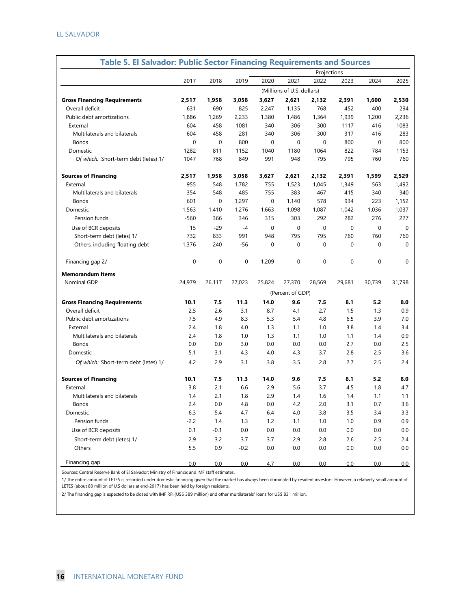| <b>Table 5. El Salvador: Public Sector Financing Requirements and Sources</b> |             |             |        |             |                            |             |          |             |          |
|-------------------------------------------------------------------------------|-------------|-------------|--------|-------------|----------------------------|-------------|----------|-------------|----------|
|                                                                               |             |             |        |             |                            | Projections |          |             |          |
|                                                                               | 2017        | 2018        | 2019   | 2020        | 2021                       | 2022        | 2023     | 2024        | 2025     |
|                                                                               |             |             |        |             | (Millions of U.S. dollars) |             |          |             |          |
| <b>Gross Financing Requirements</b>                                           | 2.517       | 1,958       | 3,058  | 3,627       | 2,621                      | 2,132       | 2,391    | 1,600       | 2,530    |
| Overall deficit                                                               | 631         | 690         | 825    | 2.247       | 1,135                      | 768         | 452      | 400         | 294      |
| Public debt amortizations                                                     | 1,886       | 1,269       | 2,233  | 1,380       | 1,486                      | 1,364       | 1,939    | 1,200       | 2,236    |
| External                                                                      | 604         | 458         | 1081   | 340         | 306                        | 300         | 1117     | 416         | 1083     |
| Multilaterals and bilaterals                                                  | 604         | 458         | 281    | 340         | 306                        | 300         | 317      | 416         | 283      |
| <b>Bonds</b>                                                                  | $\mathbf 0$ | $\mathbf 0$ | 800    | $\mathbf 0$ | $\mathbf 0$                | $\mathbf 0$ | 800      | $\mathbf 0$ | 800      |
| Domestic                                                                      | 1282        | 811         | 1152   | 1040        | 1180                       | 1064        | 822      | 784         | 1153     |
| Of which: Short-term debt (letes) 1/                                          | 1047        | 768         | 849    | 991         | 948                        | 795         | 795      | 760         | 760      |
|                                                                               |             |             |        |             |                            |             |          |             |          |
| <b>Sources of Financing</b>                                                   | 2,517       | 1,958       | 3,058  | 3,627       | 2,621                      | 2,132       | 2,391    | 1,599       | 2,529    |
| External                                                                      | 955         | 548         | 1,782  | 755         | 1,523                      | 1,045       | 1,349    | 563         | 1,492    |
| Multilaterals and bilaterals                                                  | 354         | 548         | 485    | 755         | 383                        | 467         | 415      | 340         | 340      |
| <b>Bonds</b>                                                                  | 601         | $\Omega$    | 1,297  | 0           | 1,140                      | 578         | 934      | 223         | 1,152    |
| Domestic                                                                      | 1,563       | 1.410       | 1,276  | 1,663       | 1,098                      | 1,087       | 1,042    | 1,036       | 1,037    |
| Pension funds                                                                 | $-560$      | 366         | 346    | 315         | 303                        | 292         | 282      | 276         | 277      |
| Use of BCR deposits                                                           | 15          | $-29$       | $-4$   | 0           | $\mathbf 0$                | $\mathbf 0$ | $\Omega$ | $\Omega$    | 0        |
| Short-term debt (letes) 1/                                                    | 732         | 833         | 991    | 948         | 795                        | 795         | 760      | 760         | 760      |
| Others, including floating debt                                               | 1,376       | 240         | -56    | 0           | $\mathbf 0$                | $\mathbf 0$ | 0        | $\Omega$    | $\Omega$ |
|                                                                               |             |             |        |             |                            |             |          |             |          |
| Financing gap 2/                                                              | $\mathbf 0$ | $\mathbf 0$ | 0      | 1,209       | $\mathbf 0$                | 0           | 0        | $\mathbf 0$ | $\Omega$ |
| <b>Memorandum Items</b>                                                       |             |             |        |             |                            |             |          |             |          |
| Nominal GDP                                                                   | 24,979      | 26,117      | 27,023 | 25,824      | 27,370                     | 28,569      | 29,681   | 30,739      | 31,798   |
|                                                                               |             |             |        |             | (Percent of GDP)           |             |          |             |          |
| <b>Gross Financing Requirements</b>                                           | 10.1        | 7.5         | 11.3   | 14.0        | 9.6                        | 7.5         | 8.1      | 5.2         | 8.0      |
| Overall deficit                                                               | 2.5         | 2.6         | 3.1    | 8.7         | 4.1                        | 2.7         | 1.5      | 1.3         | 0.9      |
| Public debt amortizations                                                     | 7.5         | 4.9         | 8.3    | 5.3         | 5.4                        | 4.8         | 6.5      | 3.9         | 7.0      |
| External                                                                      | 2.4         | 1.8         | 4.0    | 1.3         | 1.1                        | 1.0         | 3.8      | 1.4         | 3.4      |
| Multilaterals and bilaterals                                                  | 2.4         | 1.8         | 1.0    | 1.3         | 1.1                        | 1.0         | 1.1      | 1.4         | 0.9      |
| <b>Bonds</b>                                                                  | 0.0         | 0.0         | 3.0    | 0.0         | 0.0                        | 0.0         | 2.7      | 0.0         | 2.5      |
| Domestic                                                                      | 5.1         | 3.1         | 4.3    | 4.0         | 4.3                        | 3.7         | 2.8      | 2.5         | 3.6      |
| Of which: Short-term debt (letes) 1/                                          | 4.2         | 2.9         | 3.1    | 3.8         | 3.5                        | 2.8         | 2.7      | 2.5         | 2.4      |
|                                                                               |             |             |        |             |                            |             |          |             |          |
| <b>Sources of Financing</b>                                                   | 10.1        | 7.5         | 11.3   | 14.0        | 9.6                        | 7.5         | 8.1      | 5.2         | 8.0      |
| External                                                                      | 3.8         | 2.1         | 6.6    | 2.9         | 5.6                        | 3.7         | 4.5      | 1.8         | 4.7      |
| Multilaterals and bilaterals                                                  | 1.4         | 2.1         | 1.8    | 2.9         | 1.4                        | 1.6         | 1.4      | 1.1         | 1.1      |
| Bonds                                                                         | 2.4         | $0.0\,$     | 4.8    | 0.0         | 4.2                        | 2.0         | 3.1      | 0.7         | 3.6      |
| Domestic                                                                      | 6.3         | 5.4         | 4.7    | 6.4         | 4.0                        | 3.8         | 3.5      | 3.4         | 3.3      |
| Pension funds                                                                 | $-2.2$      | 1.4         | 1.3    | 1.2         | 1.1                        | 1.0         | 1.0      | 0.9         | 0.9      |
| Use of BCR deposits                                                           | 0.1         | $-0.1$      | 0.0    | 0.0         | 0.0                        | 0.0         | 0.0      | 0.0         | $0.0\,$  |
| Short-term debt (letes) 1/                                                    | 2.9         | 3.2         | 3.7    | 3.7         | 2.9                        | 2.8         | 2.6      | 2.5         | 2.4      |
| Others                                                                        | 5.5         | 0.9         | $-0.2$ | 0.0         | $0.0\,$                    | 0.0         | 0.0      | 0.0         | $0.0\,$  |
|                                                                               |             |             |        |             |                            |             |          |             |          |
| Financing gap                                                                 | 0.0         | 0.0         | 0.0    | 4.7         | 0.0                        | 0.0         | 0.0      | 0.0         | 0.0      |

Sources: Central Reserve Bank of El Salvador; Ministry of Finance; and IMF staff estimates.

1/ The entire amount of LETES is recorded under domestic financing given that the market has always been dominated by resident investors. However, a relatively small amount of LETES (about 80 million of U.S dollars at end-2017) has been held by foreign residents.

2/ The financing gap is expected to be closed with IMF RFI (US\$ 389 million) and other multilaterals' loans for US\$ 831 million.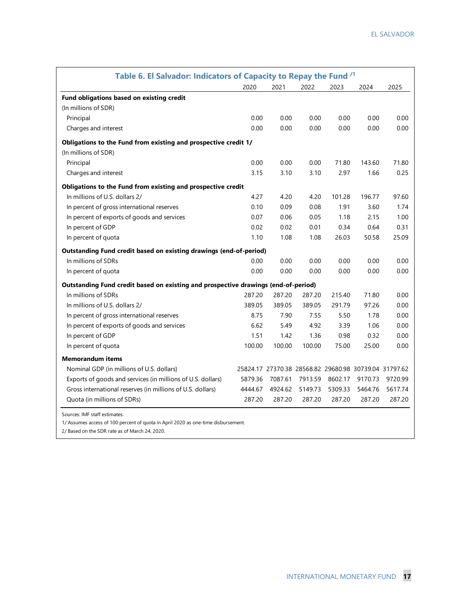| Table 6. El Salvador: Indicators of Capacity to Repay the Fund <sup>/1</sup>       |         |         |         |         |                                                       |         |  |  |  |  |  |  |  |
|------------------------------------------------------------------------------------|---------|---------|---------|---------|-------------------------------------------------------|---------|--|--|--|--|--|--|--|
|                                                                                    | 2020    | 2021    | 2022    | 2023    | 2024                                                  | 2025    |  |  |  |  |  |  |  |
| Fund obligations based on existing credit                                          |         |         |         |         |                                                       |         |  |  |  |  |  |  |  |
| (In millions of SDR)                                                               |         |         |         |         |                                                       |         |  |  |  |  |  |  |  |
| Principal                                                                          | 0.00    | 0.00    | 0.00    | 0.00    | 0.00                                                  | 0.00    |  |  |  |  |  |  |  |
| Charges and interest                                                               | 0.00    | 0.00    | 0.00    | 0.00    | 0.00                                                  | 0.00    |  |  |  |  |  |  |  |
| Obligations to the Fund from existing and prospective credit 1/                    |         |         |         |         |                                                       |         |  |  |  |  |  |  |  |
| (In millions of SDR)                                                               |         |         |         |         |                                                       |         |  |  |  |  |  |  |  |
| Principal                                                                          | 0.00    | 0.00    | 0.00    | 71.80   | 143.60                                                | 71.80   |  |  |  |  |  |  |  |
| Charges and interest                                                               | 3.15    | 3.10    | 3.10    | 2.97    | 1.66                                                  | 0.25    |  |  |  |  |  |  |  |
| Obligations to the Fund from existing and prospective credit                       |         |         |         |         |                                                       |         |  |  |  |  |  |  |  |
| In millions of U.S. dollars 2/                                                     | 4.27    | 4.20    | 4.20    | 101.28  | 196.77                                                | 97.60   |  |  |  |  |  |  |  |
| In percent of gross international reserves                                         | 0.10    | 0.09    | 0.08    | 1.91    | 3.60                                                  | 1.74    |  |  |  |  |  |  |  |
| In percent of exports of goods and services                                        | 0.07    | 0.06    | 0.05    | 1.18    | 2.15                                                  | 1.00    |  |  |  |  |  |  |  |
| In percent of GDP                                                                  | 0.02    | 0.02    | 0.01    | 0.34    | 0.64                                                  | 0.31    |  |  |  |  |  |  |  |
| In percent of quota                                                                | 1.10    | 1.08    | 1.08    | 26.03   | 50.58                                                 | 25.09   |  |  |  |  |  |  |  |
| Outstanding Fund credit based on existing drawings (end-of-period)                 |         |         |         |         |                                                       |         |  |  |  |  |  |  |  |
| In millions of SDRs                                                                | 0.00    | 0.00    | 0.00    | 0.00    | 0.00                                                  | 0.00    |  |  |  |  |  |  |  |
| In percent of quota                                                                | 0.00    | 0.00    | 0.00    | 0.00    | 0.00                                                  | 0.00    |  |  |  |  |  |  |  |
| Outstanding Fund credit based on existing and prospective drawings (end-of-period) |         |         |         |         |                                                       |         |  |  |  |  |  |  |  |
| In millions of SDRs                                                                | 287.20  | 287.20  | 287.20  | 215.40  | 71.80                                                 | 0.00    |  |  |  |  |  |  |  |
| In millions of U.S. dollars 2/                                                     | 389.05  | 389.05  | 389.05  | 291.79  | 97.26                                                 | 0.00    |  |  |  |  |  |  |  |
| In percent of gross international reserves                                         | 8.75    | 7.90    | 7.55    | 5.50    | 1.78                                                  | 0.00    |  |  |  |  |  |  |  |
| In percent of exports of goods and services                                        | 6.62    | 5.49    | 4.92    | 3.39    | 1.06                                                  | 0.00    |  |  |  |  |  |  |  |
| In percent of GDP                                                                  | 1.51    | 1.42    | 1.36    | 0.98    | 0.32                                                  | 0.00    |  |  |  |  |  |  |  |
| In percent of quota                                                                | 100.00  | 100.00  | 100.00  | 75.00   | 25.00                                                 | 0.00    |  |  |  |  |  |  |  |
| <b>Memorandum items</b>                                                            |         |         |         |         |                                                       |         |  |  |  |  |  |  |  |
| Nominal GDP (in millions of U.S. dollars)                                          |         |         |         |         | 25824.17 27370.38 28568.82 29680.98 30739.04 31797.62 |         |  |  |  |  |  |  |  |
| Exports of goods and services (in millions of U.S. dollars)                        | 5879.36 | 7087.61 | 7913.59 | 8602.17 | 9170.73                                               | 9720.99 |  |  |  |  |  |  |  |
| Gross international reserves (in millions of U.S. dollars)                         | 4444.67 | 4924.62 | 5149.73 | 5309.33 | 5464.76                                               | 5617.74 |  |  |  |  |  |  |  |
| Quota (in millions of SDRs)                                                        | 287.20  | 287.20  | 287.20  | 287.20  | 287.20                                                | 287.20  |  |  |  |  |  |  |  |
| والمستنقذ والمستقط والمستحدث والمستحدث                                             |         |         |         |         |                                                       |         |  |  |  |  |  |  |  |

Sources: IMF staff estimates.

1/ Assumes access of 100 percent of quota in April 2020 as one-time disbursement.

2/ Based on the SDR rate as of March 24, 2020.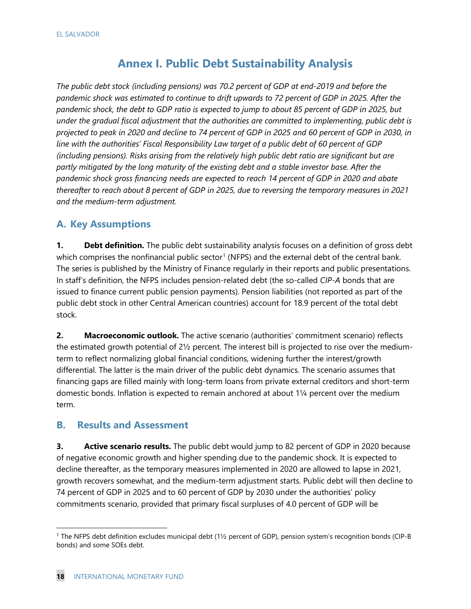### **Annex I. Public Debt Sustainability Analysis**

*The public debt stock (including pensions) was 70.2 percent of GDP at end-2019 and before the pandemic shock was estimated to continue to drift upwards to 72 percent of GDP in 2025. After the pandemic shock, the debt to GDP ratio is expected to jump to about 85 percent of GDP in 2025, but under the gradual fiscal adjustment that the authorities are committed to implementing, public debt is projected to peak in 2020 and decline to 74 percent of GDP in 2025 and 60 percent of GDP in 2030, in line with the authorities' Fiscal Responsibility Law target of a public debt of 60 percent of GDP (including pensions). Risks arising from the relatively high public debt ratio are significant but are partly mitigated by the long maturity of the existing debt and a stable investor base. After the pandemic shock gross financing needs are expected to reach 14 percent of GDP in 2020 and abate thereafter to reach about 8 percent of GDP in 2025, due to reversing the temporary measures in 2021 and the medium-term adjustment.*

### **A. Key Assumptions**

**1. Debt definition.** The public debt sustainability analysis focuses on a definition of gross debt which comprises the nonfinancial public sector<sup>[1](#page-20-0)</sup> (NFPS) and the external debt of the central bank. The series is published by the Ministry of Finance regularly in their reports and public presentations. In staff's definition, the NFPS includes pension-related debt (the so-called *CIP-A* bonds that are issued to finance current public pension payments). Pension liabilities (not reported as part of the public debt stock in other Central American countries) account for 18.9 percent of the total debt stock.

**2. Macroeconomic outlook.** The active scenario (authorities' commitment scenario) reflects the estimated growth potential of 2½ percent. The interest bill is projected to rise over the mediumterm to reflect normalizing global financial conditions, widening further the interest/growth differential. The latter is the main driver of the public debt dynamics. The scenario assumes that financing gaps are filled mainly with long-term loans from private external creditors and short-term domestic bonds. Inflation is expected to remain anchored at about 1¼ percent over the medium term.

### **B. Results and Assessment**

**3.** Active scenario results. The public debt would jump to 82 percent of GDP in 2020 because of negative economic growth and higher spending due to the pandemic shock. It is expected to decline thereafter, as the temporary measures implemented in 2020 are allowed to lapse in 2021, growth recovers somewhat, and the medium-term adjustment starts. Public debt will then decline to 74 percent of GDP in 2025 and to 60 percent of GDP by 2030 under the authorities' policy commitments scenario, provided that primary fiscal surpluses of 4.0 percent of GDP will be

<span id="page-20-0"></span><sup>1</sup> The NFPS debt definition excludes municipal debt (1½ percent of GDP), pension system's recognition bonds (CIP-B bonds) and some SOEs debt.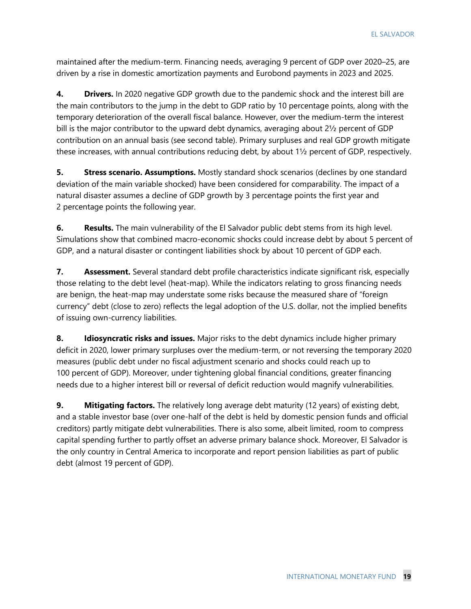maintained after the medium-term. Financing needs, averaging 9 percent of GDP over 2020–25, are driven by a rise in domestic amortization payments and Eurobond payments in 2023 and 2025.

**4.** Drivers. In 2020 negative GDP growth due to the pandemic shock and the interest bill are the main contributors to the jump in the debt to GDP ratio by 10 percentage points, along with the temporary deterioration of the overall fiscal balance. However, over the medium-term the interest bill is the major contributor to the upward debt dynamics, averaging about 2½ percent of GDP contribution on an annual basis (see second table). Primary surpluses and real GDP growth mitigate these increases, with annual contributions reducing debt, by about 1½ percent of GDP, respectively.

**5.** Stress scenario. Assumptions. Mostly standard shock scenarios (declines by one standard deviation of the main variable shocked) have been considered for comparability. The impact of a natural disaster assumes a decline of GDP growth by 3 percentage points the first year and 2 percentage points the following year.

**6.** Results. The main vulnerability of the El Salvador public debt stems from its high level. Simulations show that combined macro-economic shocks could increase debt by about 5 percent of GDP, and a natural disaster or contingent liabilities shock by about 10 percent of GDP each.

**7. Assessment.** Several standard debt profile characteristics indicate significant risk, especially those relating to the debt level (heat-map). While the indicators relating to gross financing needs are benign, the heat-map may understate some risks because the measured share of "foreign currency" debt (close to zero) reflects the legal adoption of the U.S. dollar, not the implied benefits of issuing own-currency liabilities.

**8. Idiosyncratic risks and issues.** Major risks to the debt dynamics include higher primary deficit in 2020, lower primary surpluses over the medium-term, or not reversing the temporary 2020 measures (public debt under no fiscal adjustment scenario and shocks could reach up to 100 percent of GDP). Moreover, under tightening global financial conditions, greater financing needs due to a higher interest bill or reversal of deficit reduction would magnify vulnerabilities.

**9. Mitigating factors.** The relatively long average debt maturity (12 years) of existing debt, and a stable investor base (over one-half of the debt is held by domestic pension funds and official creditors) partly mitigate debt vulnerabilities. There is also some, albeit limited, room to compress capital spending further to partly offset an adverse primary balance shock. Moreover, El Salvador is the only country in Central America to incorporate and report pension liabilities as part of public debt (almost 19 percent of GDP).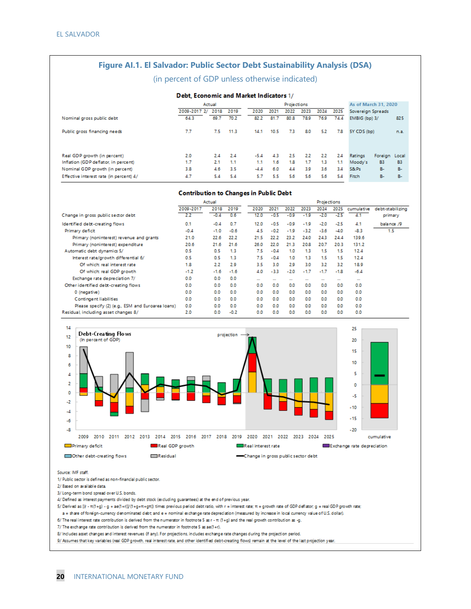#### **Figure AI.1. El Salvador: Public Sector Debt Sustainability Analysis (DSA)**

#### (in percent of GDP unless otherwise indicated)

#### **Debt. Economic and Market Indicators 1/**

|                                         |              | Actual |      |        |      |      | Projections |      |      |                   |               |           |  |  |
|-----------------------------------------|--------------|--------|------|--------|------|------|-------------|------|------|-------------------|---------------|-----------|--|--|
|                                         | 2009-2017 2/ | 2018   | 2019 | 2020   | 2021 | 2022 | 2023        | 2024 | 2025 | Sovereign Spreads |               |           |  |  |
| Nominal gross public debt               | 64.3         | 69.7   | 70.2 | 82.2   | 81.7 | 80.8 | 78.9        | 76.9 | 74.4 | EMBIG (bp) 3/     |               | 825       |  |  |
| Public gross financing needs            | 7.7          | 7.5    | 11.3 | 14.1   | 10.5 | 73   | 8.0         | 5.2  | 7.8  | 5Y CDS (bp)       |               | n.a.      |  |  |
| Real GDP growth (in percent)            | 2.0          | 2.4    | 2.4  | $-5.4$ | 43   | 2.5  | 2.2         | 2.2  | 2.4  | Ratings           | Foreign Local |           |  |  |
| Inflation (GDP deflator, in percent)    | 1.7          | 2.1    | 1.1  | 1.1    | 1.6  | 1.8  | 1.7         | 1.3  | 1.1  | Moody's           | <b>B3</b>     | <b>B3</b> |  |  |
| Nominal GDP growth (in percent)         | 3.8          | 4.6    | 3.5  | $-4.4$ | 6.0  | 44   | 3.9         | 3.6  | 3.4  | S&Ps              | в.            | <b>B-</b> |  |  |
| Effective interest rate (in percent) 4/ | 4.7          | 5.4    | 5.4  | 5.7    | 5.5  | 5.6  | 5.6         | 5.6  | 5.4  | Fitch             | <b>B-</b>     | <b>B-</b> |  |  |

#### **Contribution to Changes in Public Debt**

|                                                   | Actual    | <b>Projections</b> |        |          |          |          |          |          |          |            |                  |
|---------------------------------------------------|-----------|--------------------|--------|----------|----------|----------|----------|----------|----------|------------|------------------|
|                                                   | 2009-2017 | 2018               | 2019   | 2020     | 2021     | 2022     | 2023     | 2024     | 2025     | cumulative | debt-stabilizing |
| Change in gross public sector debt                | 2.2       | $-0.4$             | 0.6    | 12.0     | $-0.5$   | $-0.9$   | $-1.9$   | $-2.0$   | $-2.5$   | 4.1        | primary          |
| Identified debt-creating flows                    | 0.1       | $-0.4$             | 0.7    | 12.0     | $-0.5$   | $-0.9$   | $-1.9$   | $-2.0$   | $-2.5$   | 4.1        | balance /9       |
| Primary deficit                                   | $-0.4$    | $-1.0$             | $-0.6$ | 4.5      | $-0.2$   | $-1.9$   | $-3.2$   | $-3.6$   | $-4.0$   | $-8.3$     | 1.5              |
| Primary (noninterest) revenue and grants          | 21.0      | 22.6               | 22.2   | 21.5     | 22.2     | 23.2     | 24.0     | 243      | 24.4     | 139.6      |                  |
| Primary (noninterest) expenditure                 | 20.6      | 21.6               | 21.6   | 26.0     | 22.0     | 21.3     | 20.8     | 20.7     | 20.3     | 131.2      |                  |
| Automatic debt dynamics 5/                        | 0.5       | 0.5                | 1.3    | 7.5      | $-0.4$   | 1.0      | 1.3      | 1.5      | 1.5      | 12.4       |                  |
| Interest rate/growth differential 6/              | 0.5       | 0.5                | 1.3    | 7.5      | $-0.4$   | 1.0      | 13       | 1.5      | 1.5      | 12.4       |                  |
| Of which real interest rate                       | 1.8       | 2.2                | 2.9    | 3.5      | 3.0      | 2.9      | 3.0      | 3.2      | 3.2      | 18.9       |                  |
| Of which real GDP growth                          | $-1.2$    | $-1.6$             | $-1.6$ | 4.0      | $-3.3$   | $-2.0$   | $-1.7$   | $-1.7$   | $-1.8$   | $-6.4$     |                  |
| Exchange rate depreciation 7/                     | 0.0       | 0.0                | 0.0    | $\cdots$ | $\cdots$ | $\cdots$ | $\cdots$ | $\cdots$ | $\cdots$ | $\cdots$   |                  |
| Other identified debt-creating flows              | 0.0       | 0.0                | 0.0    | 0.0      | 0.0      | 0.0      | 0.0      | 0.0      | 0.0      | 0.0        |                  |
| 0 (negative)                                      | 0.0       | 0.0                | 0.0    | 0.0      | 0.0      | 0.0      | 0.0      | 0.0      | 0.0      | 0.0        |                  |
| Contingent liabilities                            | 0.0       | 0.0                | 0.0    | 0.0      | 0.0      | 0.0      | 0.0      | 0.0      | 0.0      | 0.0        |                  |
| Please specify (2) (e.g., ESM and Euroarea loans) | 0.0       | 0.0                | 0.0    | 0.0      | 0.0      | 0.0      | 0.0      | 0.0      | 0.0      | 0.0        |                  |
| Residual, including asset changes 8/              | 2.0       | 0.0                | $-0.2$ | 0.0      | 0.0      | 0.0      | 0.0      | 0.0      | 0.0      | 0.0        |                  |



Source: IMF staff.

1/ Public sector is defined as non-financial public sector.

2/ Based on available data.

3/ Long-term bond spread over U.S. bonds.

4/ Defined as interest payments divided by debt stock (excluding guarantees) at the end of previous year.

 $5/$  Derived as  $[(r - \pi(1+g) - g + ae(1+r))/(1+g + \pi+gr)]$  times previous period debtratio, with  $r =$  interest rate;  $\pi = g$  rowth rate of GDP defiator;  $g = \text{real}$  GDP growth rate;

a = share of foreign-currency denominated debt; and e = nominal exchange rate depreciation (measured by increase in local currency value of U.S. dollar).

6/ The real interest rate contribution is derived from the numerator in footnote 5 as  $r$  -  $\pi$  (1+g) and the real growth contribution as -g.

7/ The exchange rate contribution is derived from the numerator in footnote 5 as ae(1+r).

8/ Includes asset changes and interest revenues (if any). For projections, includes exchange rate changes during the projection period.

9/ Assumes that key variables (real GDP growth, real interest rate, and other identified debt-creating flows) remain at the level of the last projection year.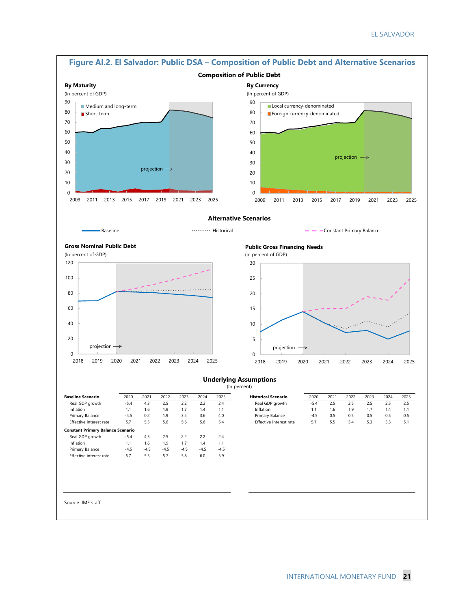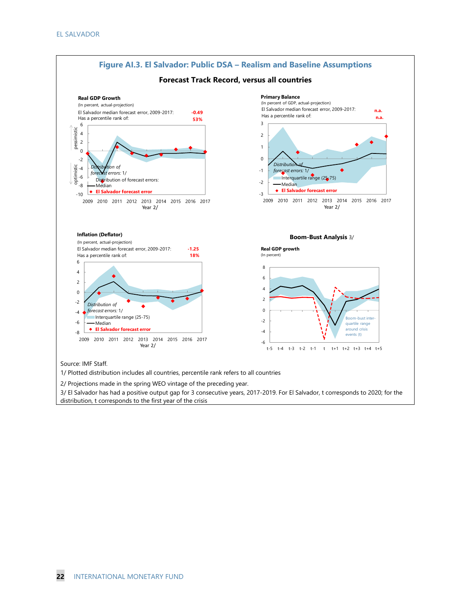

2/ Projections made in the spring WEO vintage of the preceding year.

3/ El Salvador has had a positive output gap for 3 consecutive years, 2017-2019. For El Salvador, t corresponds to 2020; for the distribution, t corresponds to the first year of the crisis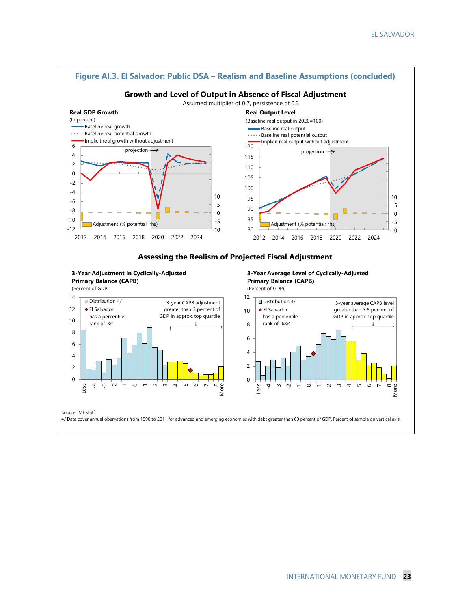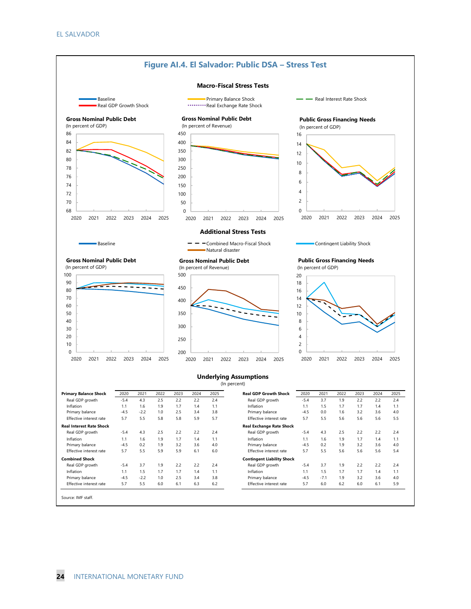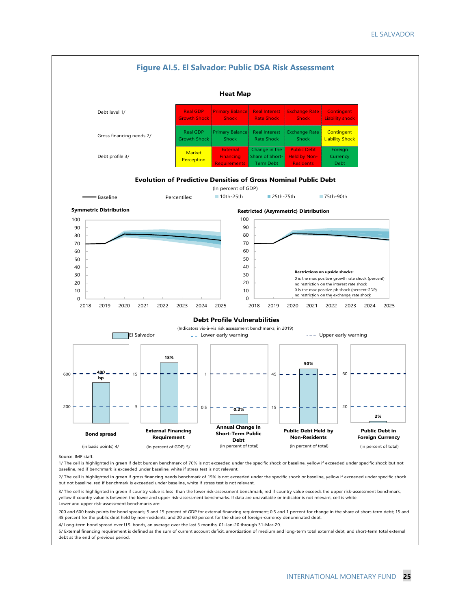

1/ The cell is highlighted in green if debt burden benchmark of 70% is not exceeded under the specific shock or baseline, yellow if exceeded under specific shock but not baseline, red if benchmark is exceeded under baseline, white if stress test is not relevant.

2/ The cell is highlighted in green if gross financing needs benchmark of 15% is not exceeded under the specific shock or baseline, yellow if exceeded under specific shock but not baseline, red if benchmark is exceeded under baseline, white if stress test is not relevant.

3/ The cell is highlighted in green if country value is less than the lower risk-assessment benchmark, red if country value exceeds the upper risk-assessment benchmark, yellow if country value is between the lower and upper risk-assessment benchmarks. If data are unavailable or indicator is not relevant, cell is white. Lower and upper risk-assessment benchmarks are:

200 and 600 basis points for bond spreads; 5 and 15 percent of GDP for external financing requirement; 0.5 and 1 percent for change in the share of short-term debt; 15 and 45 percent for the public debt held by non-residents; and 20 and 60 percent for the share of foreign-currency denominated debt.

4/ Long-term bond spread over U.S. bonds, an average over the last 3 months, 01-Jan-20 through 31-Mar-20.

5/ External financing requirement is defined as the sum of current account deficit, amortization of medium and long-term total external debt, and short-term total external debt at the end of previous period.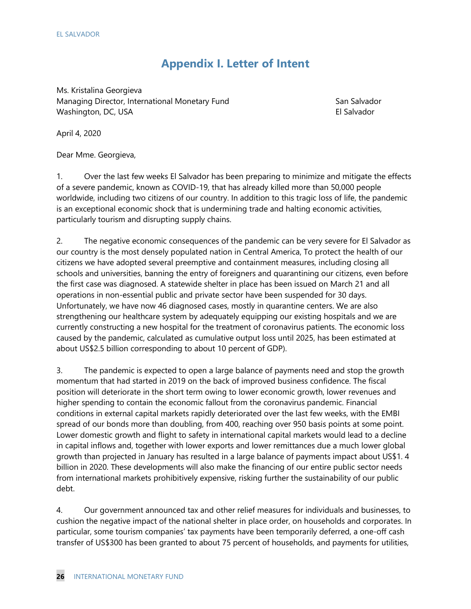### **Appendix I. Letter of Intent**

Ms. Kristalina Georgieva Managing Director, International Monetary Fund San Salvador Washington, DC, USA El Salvador estableceu a constantin a la servició de la servició de la servició de la servició

April 4, 2020

Dear Mme. Georgieva,

1. Over the last few weeks El Salvador has been preparing to minimize and mitigate the effects of a severe pandemic, known as COVID-19, that has already killed more than 50,000 people worldwide, including two citizens of our country. In addition to this tragic loss of life, the pandemic is an exceptional economic shock that is undermining trade and halting economic activities, particularly tourism and disrupting supply chains.

2. The negative economic consequences of the pandemic can be very severe for El Salvador as our country is the most densely populated nation in Central America, To protect the health of our citizens we have adopted several preemptive and containment measures, including closing all schools and universities, banning the entry of foreigners and quarantining our citizens, even before the first case was diagnosed. A statewide shelter in place has been issued on March 21 and all operations in non-essential public and private sector have been suspended for 30 days. Unfortunately, we have now 46 diagnosed cases, mostly in quarantine centers. We are also strengthening our healthcare system by adequately equipping our existing hospitals and we are currently constructing a new hospital for the treatment of coronavirus patients. The economic loss caused by the pandemic, calculated as cumulative output loss until 2025, has been estimated at about US\$2.5 billion corresponding to about 10 percent of GDP).

3. The pandemic is expected to open a large balance of payments need and stop the growth momentum that had started in 2019 on the back of improved business confidence. The fiscal position will deteriorate in the short term owing to lower economic growth, lower revenues and higher spending to contain the economic fallout from the coronavirus pandemic. Financial conditions in external capital markets rapidly deteriorated over the last few weeks, with the EMBI spread of our bonds more than doubling, from 400, reaching over 950 basis points at some point. Lower domestic growth and flight to safety in international capital markets would lead to a decline in capital inflows and, together with lower exports and lower remittances due a much lower global growth than projected in January has resulted in a large balance of payments impact about US\$1. 4 billion in 2020. These developments will also make the financing of our entire public sector needs from international markets prohibitively expensive, risking further the sustainability of our public debt.

4. Our government announced tax and other relief measures for individuals and businesses, to cushion the negative impact of the national shelter in place order, on households and corporates. In particular, some tourism companies' tax payments have been temporarily deferred, a one-off cash transfer of US\$300 has been granted to about 75 percent of households, and payments for utilities,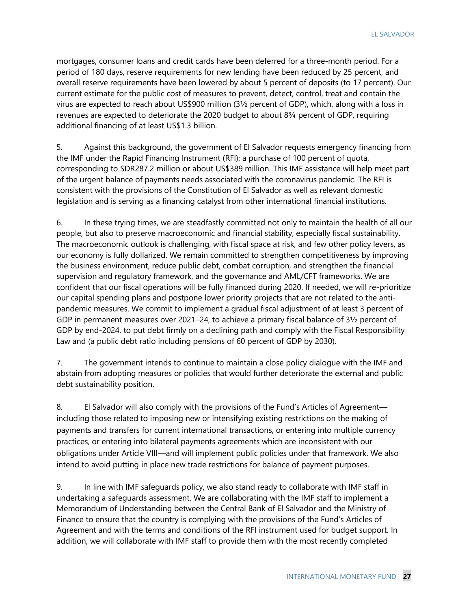mortgages, consumer loans and credit cards have been deferred for a three-month period. For a period of 180 days, reserve requirements for new lending have been reduced by 25 percent, and overall reserve requirements have been lowered by about 5 percent of deposits (to 17 percent). Our current estimate for the public cost of measures to prevent, detect, control, treat and contain the virus are expected to reach about US\$900 million (3½ percent of GDP), which, along with a loss in revenues are expected to deteriorate the 2020 budget to about 8¾ percent of GDP, requiring additional financing of at least US\$1.3 billion.

5. Against this background, the government of El Salvador requests emergency financing from the IMF under the Rapid Financing Instrument (RFI); a purchase of 100 percent of quota, corresponding to SDR287.2 million or about US\$389 million. This IMF assistance will help meet part of the urgent balance of payments needs associated with the coronavirus pandemic. The RFI is consistent with the provisions of the Constitution of El Salvador as well as relevant domestic legislation and is serving as a financing catalyst from other international financial institutions.

6. In these trying times, we are steadfastly committed not only to maintain the health of all our people, but also to preserve macroeconomic and financial stability, especially fiscal sustainability. The macroeconomic outlook is challenging, with fiscal space at risk, and few other policy levers, as our economy is fully dollarized. We remain committed to strengthen competitiveness by improving the business environment, reduce public debt, combat corruption, and strengthen the financial supervision and regulatory framework, and the governance and AML/CFT frameworks. We are confident that our fiscal operations will be fully financed during 2020. If needed, we will re-prioritize our capital spending plans and postpone lower priority projects that are not related to the antipandemic measures. We commit to implement a gradual fiscal adjustment of at least 3 percent of GDP in permanent measures over 2021–24, to achieve a primary fiscal balance of 3½ percent of GDP by end-2024, to put debt firmly on a declining path and comply with the Fiscal Responsibility Law and (a public debt ratio including pensions of 60 percent of GDP by 2030).

7. The government intends to continue to maintain a close policy dialogue with the IMF and abstain from adopting measures or policies that would further deteriorate the external and public debt sustainability position.

8. El Salvador will also comply with the provisions of the Fund's Articles of Agreement including those related to imposing new or intensifying existing restrictions on the making of payments and transfers for current international transactions, or entering into multiple currency practices, or entering into bilateral payments agreements which are inconsistent with our obligations under Article VIII—and will implement public policies under that framework. We also intend to avoid putting in place new trade restrictions for balance of payment purposes.

9. In line with IMF safeguards policy, we also stand ready to collaborate with IMF staff in undertaking a safeguards assessment. We are collaborating with the IMF staff to implement a Memorandum of Understanding between the Central Bank of El Salvador and the Ministry of Finance to ensure that the country is complying with the provisions of the Fund's Articles of Agreement and with the terms and conditions of the RFI instrument used for budget support. In addition, we will collaborate with IMF staff to provide them with the most recently completed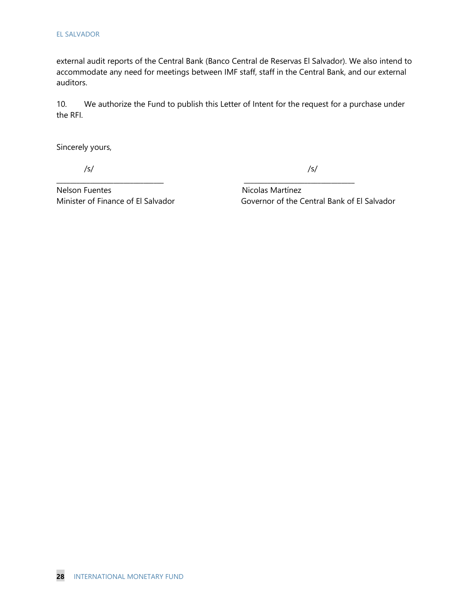external audit reports of the Central Bank (Banco Central de Reservas El Salvador). We also intend to accommodate any need for meetings between IMF staff, staff in the Central Bank, and our external auditors.

10. We authorize the Fund to publish this Letter of Intent for the request for a purchase under the RFI.

**\_\_\_\_\_\_\_\_\_\_\_\_\_\_\_\_\_\_\_\_\_\_\_\_\_\_\_\_\_\_\_\_ \_\_\_\_\_\_\_\_\_\_\_\_\_\_\_\_\_\_\_\_\_\_\_\_\_\_\_\_\_\_\_\_\_**

Sincerely yours,

/s/ /s/

Nelson Fuentes Nicolas Martínez

Minister of Finance of El Salvador Governor of the Central Bank of El Salvador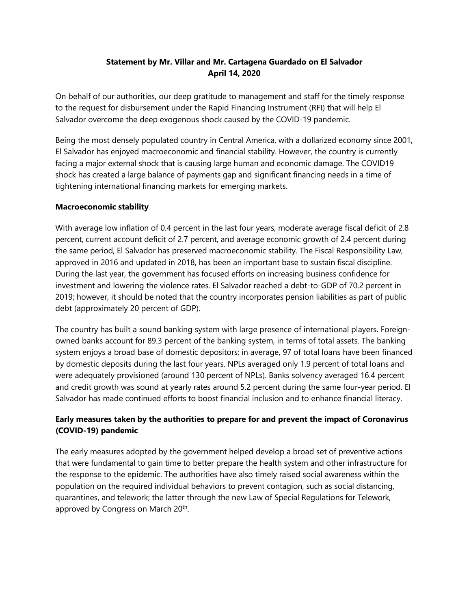### **Statement by Mr. Villar and Mr. Cartagena Guardado on El Salvador April 14, 2020**

On behalf of our authorities, our deep gratitude to management and staff for the timely response to the request for disbursement under the Rapid Financing Instrument (RFI) that will help El Salvador overcome the deep exogenous shock caused by the COVID-19 pandemic.

Being the most densely populated country in Central America, with a dollarized economy since 2001, El Salvador has enjoyed macroeconomic and financial stability. However, the country is currently facing a major external shock that is causing large human and economic damage. The COVID19 shock has created a large balance of payments gap and significant financing needs in a time of tightening international financing markets for emerging markets.

### **Macroeconomic stability**

With average low inflation of 0.4 percent in the last four years, moderate average fiscal deficit of 2.8 percent, current account deficit of 2.7 percent, and average economic growth of 2.4 percent during the same period, El Salvador has preserved macroeconomic stability. The Fiscal Responsibility Law, approved in 2016 and updated in 2018, has been an important base to sustain fiscal discipline. During the last year, the government has focused efforts on increasing business confidence for investment and lowering the violence rates. El Salvador reached a debt-to-GDP of 70.2 percent in 2019; however, it should be noted that the country incorporates pension liabilities as part of public debt (approximately 20 percent of GDP).

The country has built a sound banking system with large presence of international players. Foreignowned banks account for 89.3 percent of the banking system, in terms of total assets. The banking system enjoys a broad base of domestic depositors; in average, 97 of total loans have been financed by domestic deposits during the last four years. NPLs averaged only 1.9 percent of total loans and were adequately provisioned (around 130 percent of NPLs). Banks solvency averaged 16.4 percent and credit growth was sound at yearly rates around 5.2 percent during the same four-year period. El Salvador has made continued efforts to boost financial inclusion and to enhance financial literacy.

### **Early measures taken by the authorities to prepare for and prevent the impact of Coronavirus (COVID-19) pandemic**

The early measures adopted by the government helped develop a broad set of preventive actions that were fundamental to gain time to better prepare the health system and other infrastructure for the response to the epidemic. The authorities have also timely raised social awareness within the population on the required individual behaviors to prevent contagion, such as social distancing, quarantines, and telework; the latter through the new Law of Special Regulations for Telework, approved by Congress on March 20<sup>th</sup>.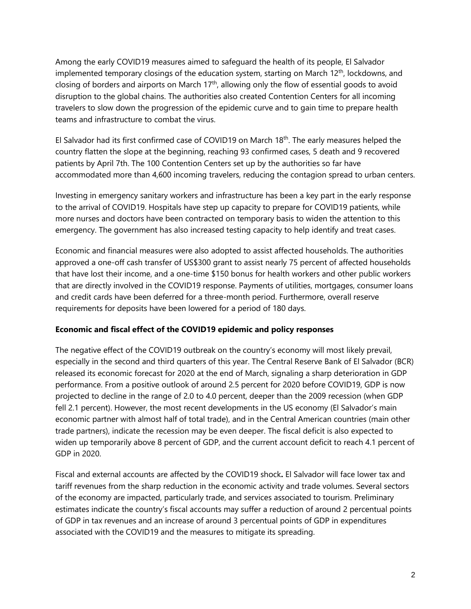Among the early COVID19 measures aimed to safeguard the health of its people, El Salvador implemented temporary closings of the education system, starting on March  $12<sup>th</sup>$ , lockdowns, and closing of borders and airports on March  $17<sup>th</sup>$ , allowing only the flow of essential goods to avoid disruption to the global chains. The authorities also created Contention Centers for all incoming travelers to slow down the progression of the epidemic curve and to gain time to prepare health teams and infrastructure to combat the virus.

El Salvador had its first confirmed case of COVID19 on March 18th. The early measures helped the country flatten the slope at the beginning, reaching 93 confirmed cases, 5 death and 9 recovered patients by April 7th. The 100 Contention Centers set up by the authorities so far have accommodated more than 4,600 incoming travelers, reducing the contagion spread to urban centers.

Investing in emergency sanitary workers and infrastructure has been a key part in the early response to the arrival of COVID19. Hospitals have step up capacity to prepare for COVID19 patients, while more nurses and doctors have been contracted on temporary basis to widen the attention to this emergency. The government has also increased testing capacity to help identify and treat cases.

Economic and financial measures were also adopted to assist affected households. The authorities approved a one-off cash transfer of US\$300 grant to assist nearly 75 percent of affected households that have lost their income, and a one-time \$150 bonus for health workers and other public workers that are directly involved in the COVID19 response. Payments of utilities, mortgages, consumer loans and credit cards have been deferred for a three-month period. Furthermore, overall reserve requirements for deposits have been lowered for a period of 180 days.

### **Economic and fiscal effect of the COVID19 epidemic and policy responses**

The negative effect of the COVID19 outbreak on the country's economy will most likely prevail, especially in the second and third quarters of this year. The Central Reserve Bank of El Salvador (BCR) released its economic forecast for 2020 at the end of March, signaling a sharp deterioration in GDP performance. From a positive outlook of around 2.5 percent for 2020 before COVID19, GDP is now projected to decline in the range of 2.0 to 4.0 percent, deeper than the 2009 recession (when GDP fell 2.1 percent). However, the most recent developments in the US economy (El Salvador's main economic partner with almost half of total trade), and in the Central American countries (main other trade partners), indicate the recession may be even deeper. The fiscal deficit is also expected to widen up temporarily above 8 percent of GDP, and the current account deficit to reach 4.1 percent of GDP in 2020.

Fiscal and external accounts are affected by the COVID19 shock**.** El Salvador will face lower tax and tariff revenues from the sharp reduction in the economic activity and trade volumes. Several sectors of the economy are impacted, particularly trade, and services associated to tourism. Preliminary estimates indicate the country's fiscal accounts may suffer a reduction of around 2 percentual points of GDP in tax revenues and an increase of around 3 percentual points of GDP in expenditures associated with the COVID19 and the measures to mitigate its spreading.